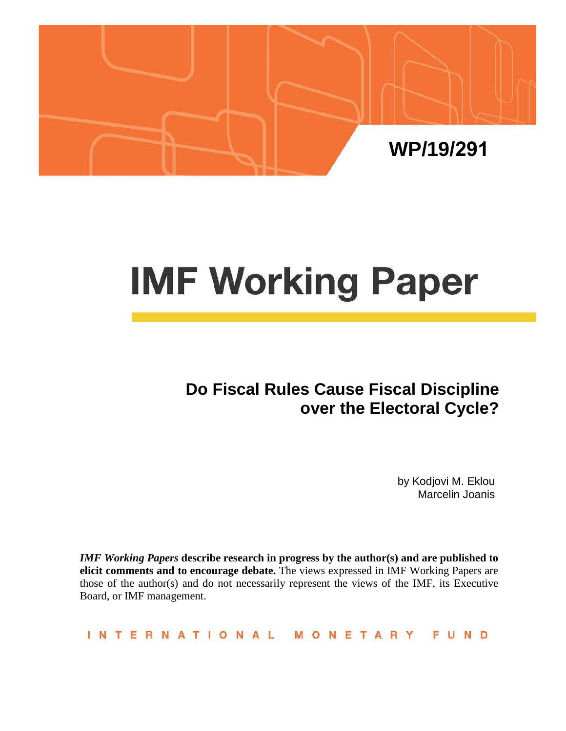

# **IMF Working Paper**

# **Do Fiscal Rules Cause Fiscal Discipline over the Electoral Cycle?**

by Kodjovi M. Eklou Marcelin Joanis

*IMF Working Papers* **describe research in progress by the author(s) and are published to elicit comments and to encourage debate.** The views expressed in IMF Working Papers are those of the author(s) and do not necessarily represent the views of the IMF, its Executive Board, or IMF management.

**INTERNATIONAL** MONETARY **FUND**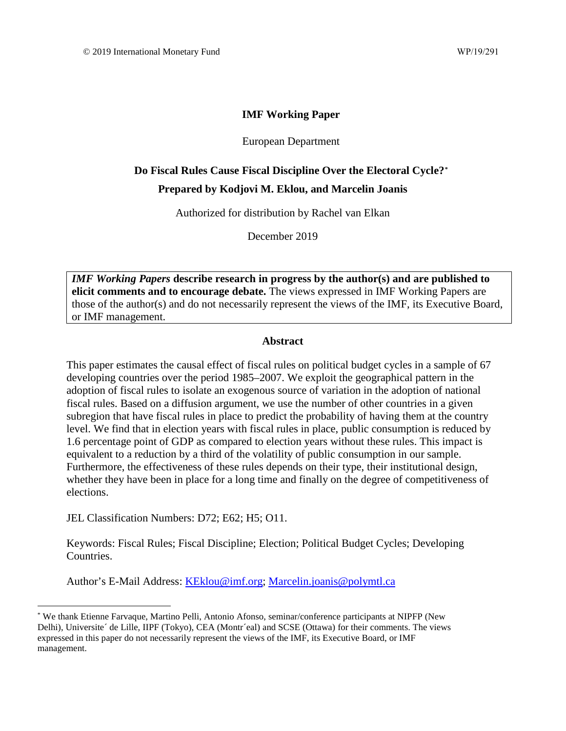#### **IMF Working Paper**

#### European Department

### **Do Fiscal Rules Cause Fiscal Discipline Over the Electoral Cycle?[\\*](#page-1-0) Prepared by Kodjovi M. Eklou, and Marcelin Joanis**

Authorized for distribution by Rachel van Elkan

December 2019

*IMF Working Papers* **describe research in progress by the author(s) and are published to elicit comments and to encourage debate.** The views expressed in IMF Working Papers are those of the author(s) and do not necessarily represent the views of the IMF, its Executive Board, or IMF management.

#### **Abstract**

This paper estimates the causal effect of fiscal rules on political budget cycles in a sample of 67 developing countries over the period 1985–2007. We exploit the geographical pattern in the adoption of fiscal rules to isolate an exogenous source of variation in the adoption of national fiscal rules. Based on a diffusion argument, we use the number of other countries in a given subregion that have fiscal rules in place to predict the probability of having them at the country level. We find that in election years with fiscal rules in place, public consumption is reduced by 1.6 percentage point of GDP as compared to election years without these rules. This impact is equivalent to a reduction by a third of the volatility of public consumption in our sample. Furthermore, the effectiveness of these rules depends on their type, their institutional design, whether they have been in place for a long time and finally on the degree of competitiveness of elections.

JEL Classification Numbers: D72; E62; H5; O11.

Keywords: Fiscal Rules; Fiscal Discipline; Election; Political Budget Cycles; Developing Countries.

Author's E-Mail Address: [KEklou@imf.org;](mailto:KEklou@imf.org) [Marcelin.joanis@polymtl.ca](mailto:Marcelin.joanis@polymtl.ca)

<span id="page-1-0"></span><sup>\*</sup> We thank Etienne Farvaque, Martino Pelli, Antonio Afonso, seminar/conference participants at NIPFP (New Delhi), Universite´ de Lille, IIPF (Tokyo), CEA (Montr´eal) and SCSE (Ottawa) for their comments. The views expressed in this paper do not necessarily represent the views of the IMF, its Executive Board, or IMF management.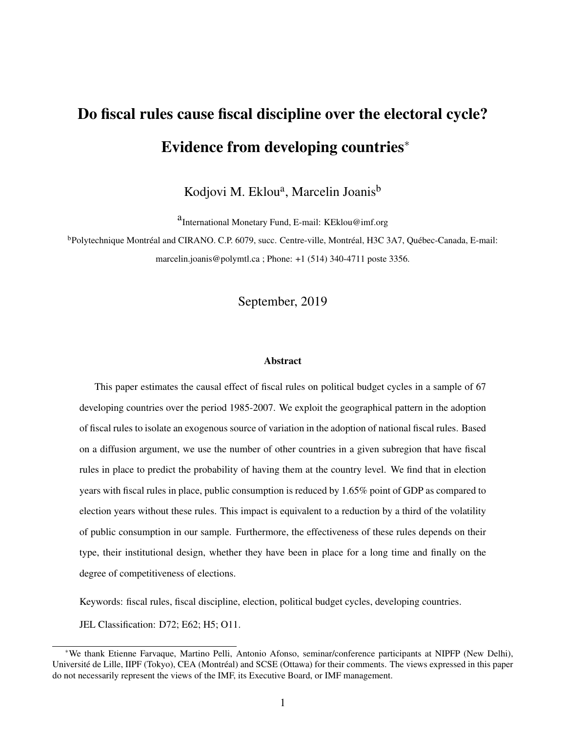# Do fiscal rules cause fiscal discipline over the electoral cycle? Evidence from developing countries<sup>∗</sup>

Kodjovi M. Eklou<sup>a</sup>, Marcelin Joanis<sup>b</sup>

a<br>International Monetary Fund, E-mail: KEklou@imf.org

<sup>b</sup>Polytechnique Montréal and CIRANO. C.P. 6079, succ. Centre-ville, Montréal, H3C 3A7, Québec-Canada, E-mail: marcelin.joanis@polymtl.ca ; Phone: +1 (514) 340-4711 poste 3356.

#### September, 2019

#### Abstract

This paper estimates the causal effect of fiscal rules on political budget cycles in a sample of 67 developing countries over the period 1985-2007. We exploit the geographical pattern in the adoption of fiscal rules to isolate an exogenous source of variation in the adoption of national fiscal rules. Based on a diffusion argument, we use the number of other countries in a given subregion that have fiscal rules in place to predict the probability of having them at the country level. We find that in election years with fiscal rules in place, public consumption is reduced by 1.65% point of GDP as compared to election years without these rules. This impact is equivalent to a reduction by a third of the volatility of public consumption in our sample. Furthermore, the effectiveness of these rules depends on their type, their institutional design, whether they have been in place for a long time and finally on the degree of competitiveness of elections.

Keywords: fiscal rules, fiscal discipline, election, political budget cycles, developing countries.

JEL Classification: D72; E62; H5; O11.

<sup>∗</sup>We thank Etienne Farvaque, Martino Pelli, Antonio Afonso, seminar/conference participants at NIPFP (New Delhi), Université de Lille, IIPF (Tokyo), CEA (Montréal) and SCSE (Ottawa) for their comments. The views expressed in this paper do not necessarily represent the views of the IMF, its Executive Board, or IMF management.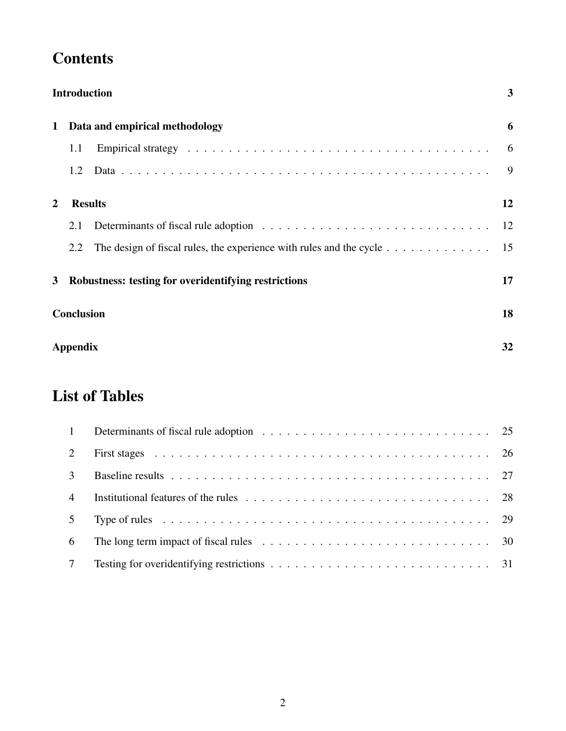# **Contents**

|              |                   | <b>Introduction</b>                                                                           | 3  |
|--------------|-------------------|-----------------------------------------------------------------------------------------------|----|
| $\mathbf 1$  |                   | Data and empirical methodology                                                                | 6  |
|              | 1.1               |                                                                                               | 6  |
|              | 1.2               |                                                                                               | 9  |
| $\mathbf{2}$ |                   | <b>Results</b>                                                                                | 12 |
|              | 2.1               |                                                                                               | 12 |
|              | 2.2               | The design of fiscal rules, the experience with rules and the cycle $\dots \dots \dots \dots$ | 15 |
| 3            |                   | Robustness: testing for overidentifying restrictions                                          | 17 |
|              | <b>Conclusion</b> |                                                                                               | 18 |
|              | Appendix          |                                                                                               | 32 |

# List of Tables

| $\overline{1}$  |                                                                                                                        |  |
|-----------------|------------------------------------------------------------------------------------------------------------------------|--|
| 2               |                                                                                                                        |  |
| 3               |                                                                                                                        |  |
| $\overline{4}$  |                                                                                                                        |  |
| 5 <sup>5</sup>  |                                                                                                                        |  |
| 6               | The long term impact of fiscal rules $\ldots \ldots \ldots \ldots \ldots \ldots \ldots \ldots \ldots \ldots \ldots$ 30 |  |
| $7\phantom{.0}$ |                                                                                                                        |  |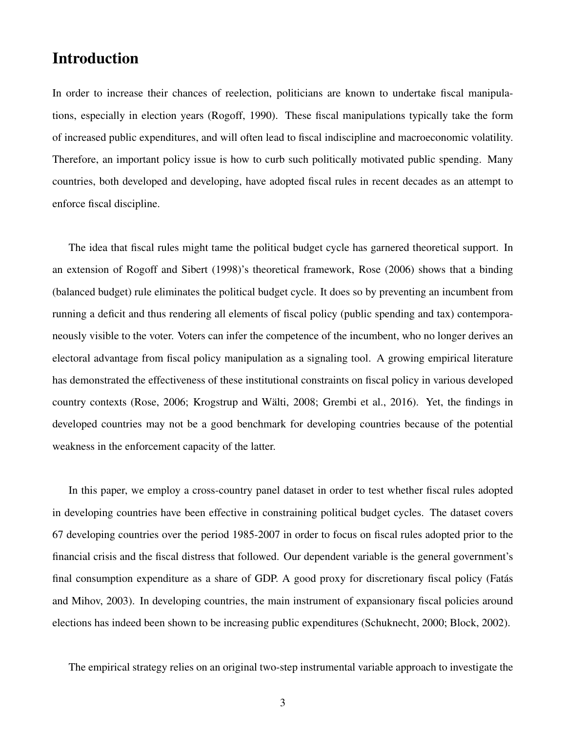# <span id="page-4-0"></span>Introduction

In order to increase their chances of reelection, politicians are known to undertake fiscal manipulations, especially in election years (Rogoff, 1990). These fiscal manipulations typically take the form of increased public expenditures, and will often lead to fiscal indiscipline and macroeconomic volatility. Therefore, an important policy issue is how to curb such politically motivated public spending. Many countries, both developed and developing, have adopted fiscal rules in recent decades as an attempt to enforce fiscal discipline.

The idea that fiscal rules might tame the political budget cycle has garnered theoretical support. In an extension of Rogoff and Sibert (1998)'s theoretical framework, Rose (2006) shows that a binding (balanced budget) rule eliminates the political budget cycle. It does so by preventing an incumbent from running a deficit and thus rendering all elements of fiscal policy (public spending and tax) contemporaneously visible to the voter. Voters can infer the competence of the incumbent, who no longer derives an electoral advantage from fiscal policy manipulation as a signaling tool. A growing empirical literature has demonstrated the effectiveness of these institutional constraints on fiscal policy in various developed country contexts (Rose, 2006; Krogstrup and Wälti, 2008; Grembi et al., 2016). Yet, the findings in developed countries may not be a good benchmark for developing countries because of the potential weakness in the enforcement capacity of the latter.

In this paper, we employ a cross-country panel dataset in order to test whether fiscal rules adopted in developing countries have been effective in constraining political budget cycles. The dataset covers 67 developing countries over the period 1985-2007 in order to focus on fiscal rules adopted prior to the financial crisis and the fiscal distress that followed. Our dependent variable is the general government's final consumption expenditure as a share of GDP. A good proxy for discretionary fiscal policy (Fatás and Mihov, 2003). In developing countries, the main instrument of expansionary fiscal policies around elections has indeed been shown to be increasing public expenditures (Schuknecht, 2000; Block, 2002).

The empirical strategy relies on an original two-step instrumental variable approach to investigate the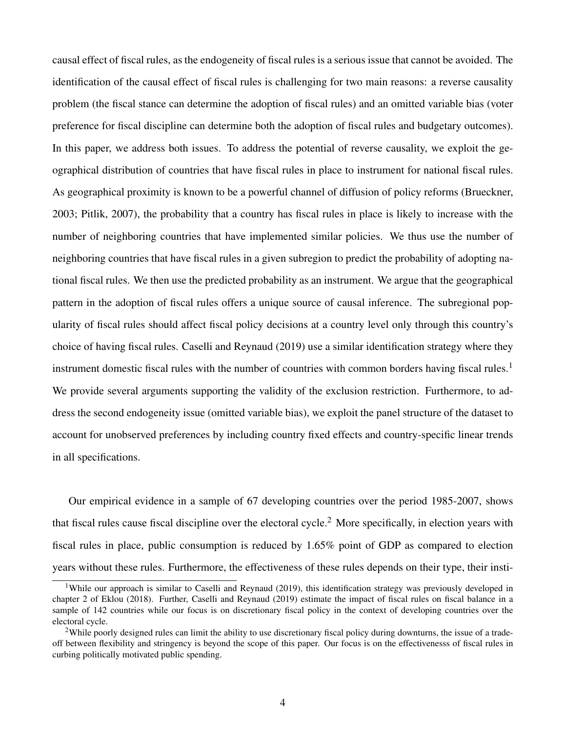causal effect of fiscal rules, as the endogeneity of fiscal rules is a serious issue that cannot be avoided. The identification of the causal effect of fiscal rules is challenging for two main reasons: a reverse causality problem (the fiscal stance can determine the adoption of fiscal rules) and an omitted variable bias (voter preference for fiscal discipline can determine both the adoption of fiscal rules and budgetary outcomes). In this paper, we address both issues. To address the potential of reverse causality, we exploit the geographical distribution of countries that have fiscal rules in place to instrument for national fiscal rules. As geographical proximity is known to be a powerful channel of diffusion of policy reforms (Brueckner, 2003; Pitlik, 2007), the probability that a country has fiscal rules in place is likely to increase with the number of neighboring countries that have implemented similar policies. We thus use the number of neighboring countries that have fiscal rules in a given subregion to predict the probability of adopting national fiscal rules. We then use the predicted probability as an instrument. We argue that the geographical pattern in the adoption of fiscal rules offers a unique source of causal inference. The subregional popularity of fiscal rules should affect fiscal policy decisions at a country level only through this country's choice of having fiscal rules. Caselli and Reynaud (2019) use a similar identification strategy where they instrument domestic fiscal rules with the number of countries with common borders having fiscal rules.<sup>[1](#page-5-0)</sup> We provide several arguments supporting the validity of the exclusion restriction. Furthermore, to address the second endogeneity issue (omitted variable bias), we exploit the panel structure of the dataset to account for unobserved preferences by including country fixed effects and country-specific linear trends in all specifications.

Our empirical evidence in a sample of 67 developing countries over the period 1985-2007, shows that fiscal rules cause fiscal discipline over the electoral cycle.[2](#page-5-1) More specifically, in election years with fiscal rules in place, public consumption is reduced by 1.65% point of GDP as compared to election years without these rules. Furthermore, the effectiveness of these rules depends on their type, their insti-

<span id="page-5-0"></span><sup>&</sup>lt;sup>1</sup>While our approach is similar to Caselli and Reynaud (2019), this identification strategy was previously developed in chapter 2 of Eklou (2018). Further, Caselli and Reynaud (2019) estimate the impact of fiscal rules on fiscal balance in a sample of 142 countries while our focus is on discretionary fiscal policy in the context of developing countries over the electoral cycle.

<span id="page-5-1"></span><sup>&</sup>lt;sup>2</sup>While poorly designed rules can limit the ability to use discretionary fiscal policy during downturns, the issue of a tradeoff between flexibility and stringency is beyond the scope of this paper. Our focus is on the effectivenesss of fiscal rules in curbing politically motivated public spending.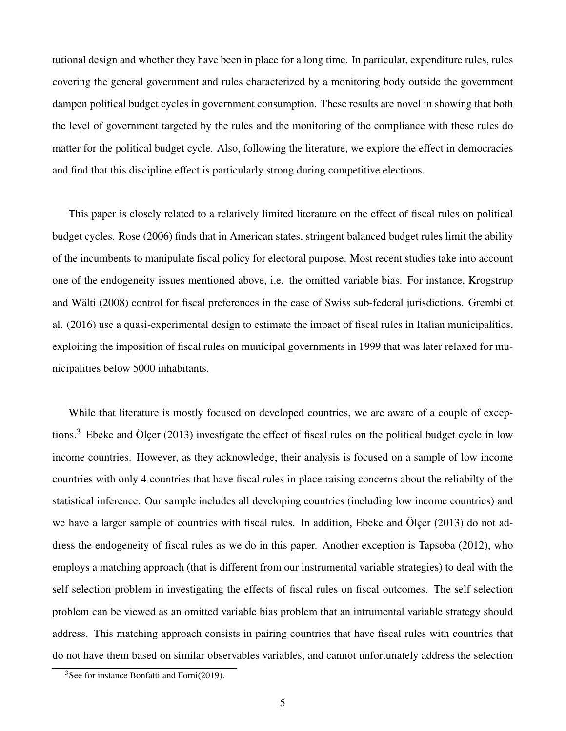tutional design and whether they have been in place for a long time. In particular, expenditure rules, rules covering the general government and rules characterized by a monitoring body outside the government dampen political budget cycles in government consumption. These results are novel in showing that both the level of government targeted by the rules and the monitoring of the compliance with these rules do matter for the political budget cycle. Also, following the literature, we explore the effect in democracies and find that this discipline effect is particularly strong during competitive elections.

This paper is closely related to a relatively limited literature on the effect of fiscal rules on political budget cycles. Rose (2006) finds that in American states, stringent balanced budget rules limit the ability of the incumbents to manipulate fiscal policy for electoral purpose. Most recent studies take into account one of the endogeneity issues mentioned above, i.e. the omitted variable bias. For instance, Krogstrup and Wälti (2008) control for fiscal preferences in the case of Swiss sub-federal jurisdictions. Grembi et al. (2016) use a quasi-experimental design to estimate the impact of fiscal rules in Italian municipalities, exploiting the imposition of fiscal rules on municipal governments in 1999 that was later relaxed for municipalities below 5000 inhabitants.

While that literature is mostly focused on developed countries, we are aware of a couple of excep-tions.<sup>[3](#page-6-0)</sup> Ebeke and Olcer (2013) investigate the effect of fiscal rules on the political budget cycle in low income countries. However, as they acknowledge, their analysis is focused on a sample of low income countries with only 4 countries that have fiscal rules in place raising concerns about the reliabilty of the statistical inference. Our sample includes all developing countries (including low income countries) and we have a larger sample of countries with fiscal rules. In addition, Ebeke and Ölcer  $(2013)$  do not address the endogeneity of fiscal rules as we do in this paper. Another exception is Tapsoba (2012), who employs a matching approach (that is different from our instrumental variable strategies) to deal with the self selection problem in investigating the effects of fiscal rules on fiscal outcomes. The self selection problem can be viewed as an omitted variable bias problem that an intrumental variable strategy should address. This matching approach consists in pairing countries that have fiscal rules with countries that do not have them based on similar observables variables, and cannot unfortunately address the selection

<span id="page-6-0"></span> $3$ See for instance Bonfatti and Forni(2019).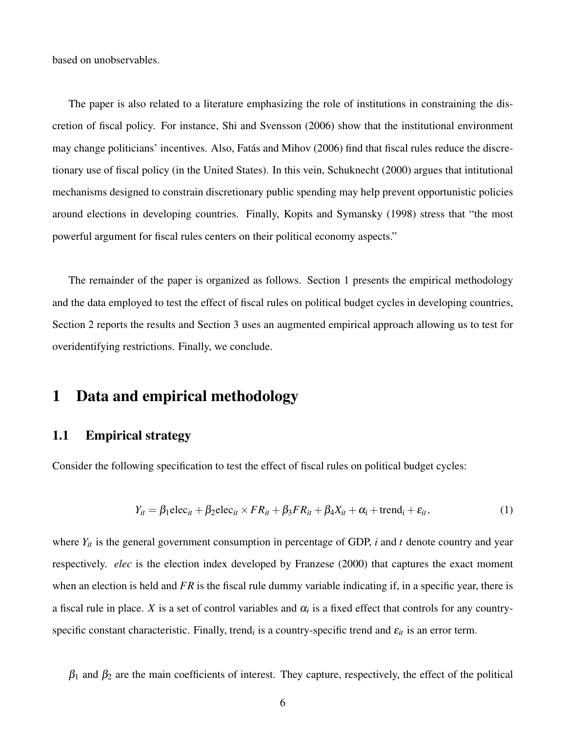based on unobservables.

The paper is also related to a literature emphasizing the role of institutions in constraining the discretion of fiscal policy. For instance, Shi and Svensson (2006) show that the institutional environment may change politicians' incentives. Also, Fatas and Mihov (2006) find that fiscal rules reduce the discre- ´ tionary use of fiscal policy (in the United States). In this vein, Schuknecht (2000) argues that intitutional mechanisms designed to constrain discretionary public spending may help prevent opportunistic policies around elections in developing countries. Finally, Kopits and Symansky (1998) stress that "the most powerful argument for fiscal rules centers on their political economy aspects."

The remainder of the paper is organized as follows. Section 1 presents the empirical methodology and the data employed to test the effect of fiscal rules on political budget cycles in developing countries, Section 2 reports the results and Section 3 uses an augmented empirical approach allowing us to test for overidentifying restrictions. Finally, we conclude.

#### <span id="page-7-0"></span>1 Data and empirical methodology

#### <span id="page-7-1"></span>1.1 Empirical strategy

Consider the following specification to test the effect of fiscal rules on political budget cycles:

$$
Y_{it} = \beta_1 \text{elec}_{it} + \beta_2 \text{elec}_{it} \times FR_{it} + \beta_3 FR_{it} + \beta_4 X_{it} + \alpha_i + \text{trend}_i + \varepsilon_{it},\tag{1}
$$

where  $Y_{it}$  is the general government consumption in percentage of GDP, *i* and *t* denote country and year respectively. *elec* is the election index developed by Franzese (2000) that captures the exact moment when an election is held and *FR* is the fiscal rule dummy variable indicating if, in a specific year, there is a fiscal rule in place. *X* is a set of control variables and  $\alpha_i$  is a fixed effect that controls for any countryspecific constant characteristic. Finally, trend<sub>*i*</sub> is a country-specific trend and  $\varepsilon_{it}$  is an error term.

 $\beta_1$  and  $\beta_2$  are the main coefficients of interest. They capture, respectively, the effect of the political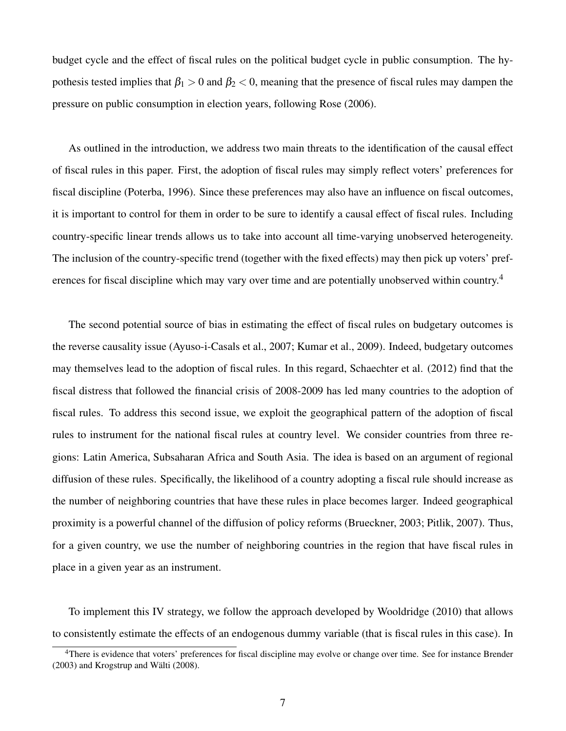budget cycle and the effect of fiscal rules on the political budget cycle in public consumption. The hypothesis tested implies that  $\beta_1 > 0$  and  $\beta_2 < 0$ , meaning that the presence of fiscal rules may dampen the pressure on public consumption in election years, following Rose (2006).

As outlined in the introduction, we address two main threats to the identification of the causal effect of fiscal rules in this paper. First, the adoption of fiscal rules may simply reflect voters' preferences for fiscal discipline (Poterba, 1996). Since these preferences may also have an influence on fiscal outcomes, it is important to control for them in order to be sure to identify a causal effect of fiscal rules. Including country-specific linear trends allows us to take into account all time-varying unobserved heterogeneity. The inclusion of the country-specific trend (together with the fixed effects) may then pick up voters' pref-erences for fiscal discipline which may vary over time and are potentially unobserved within country.<sup>[4](#page-8-0)</sup>

The second potential source of bias in estimating the effect of fiscal rules on budgetary outcomes is the reverse causality issue (Ayuso-i-Casals et al., 2007; Kumar et al., 2009). Indeed, budgetary outcomes may themselves lead to the adoption of fiscal rules. In this regard, Schaechter et al. (2012) find that the fiscal distress that followed the financial crisis of 2008-2009 has led many countries to the adoption of fiscal rules. To address this second issue, we exploit the geographical pattern of the adoption of fiscal rules to instrument for the national fiscal rules at country level. We consider countries from three regions: Latin America, Subsaharan Africa and South Asia. The idea is based on an argument of regional diffusion of these rules. Specifically, the likelihood of a country adopting a fiscal rule should increase as the number of neighboring countries that have these rules in place becomes larger. Indeed geographical proximity is a powerful channel of the diffusion of policy reforms (Brueckner, 2003; Pitlik, 2007). Thus, for a given country, we use the number of neighboring countries in the region that have fiscal rules in place in a given year as an instrument.

To implement this IV strategy, we follow the approach developed by Wooldridge (2010) that allows to consistently estimate the effects of an endogenous dummy variable (that is fiscal rules in this case). In

<span id="page-8-0"></span><sup>&</sup>lt;sup>4</sup>There is evidence that voters' preferences for fiscal discipline may evolve or change over time. See for instance Brender  $(2003)$  and Krogstrup and Wälti  $(2008)$ .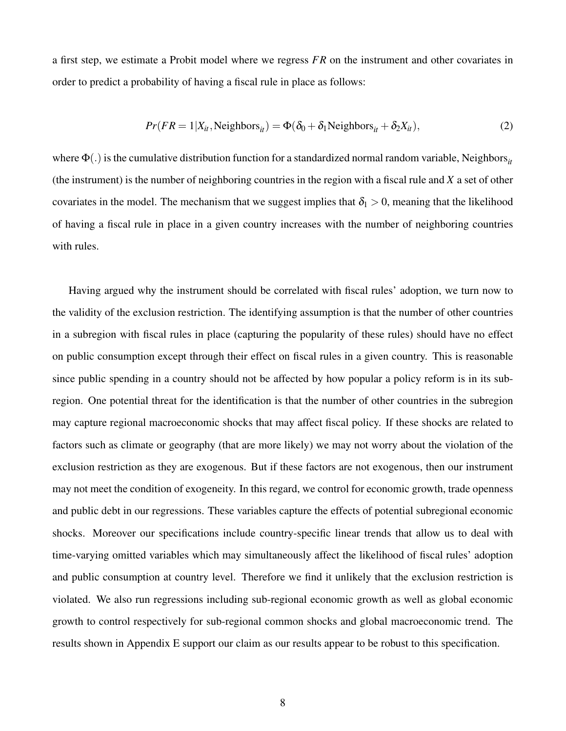a first step, we estimate a Probit model where we regress *FR* on the instrument and other covariates in order to predict a probability of having a fiscal rule in place as follows:

$$
Pr(FR = 1 | X_{it}, Neighbors_{it}) = \Phi(\delta_0 + \delta_1 Neighbors_{it} + \delta_2 X_{it}),
$$
\n(2)

where  $\Phi(.)$  is the cumulative distribution function for a standardized normal random variable, Neighbors<sub>*it*</sub> (the instrument) is the number of neighboring countries in the region with a fiscal rule and *X* a set of other covariates in the model. The mechanism that we suggest implies that  $\delta_1 > 0$ , meaning that the likelihood of having a fiscal rule in place in a given country increases with the number of neighboring countries with rules.

Having argued why the instrument should be correlated with fiscal rules' adoption, we turn now to the validity of the exclusion restriction. The identifying assumption is that the number of other countries in a subregion with fiscal rules in place (capturing the popularity of these rules) should have no effect on public consumption except through their effect on fiscal rules in a given country. This is reasonable since public spending in a country should not be affected by how popular a policy reform is in its subregion. One potential threat for the identification is that the number of other countries in the subregion may capture regional macroeconomic shocks that may affect fiscal policy. If these shocks are related to factors such as climate or geography (that are more likely) we may not worry about the violation of the exclusion restriction as they are exogenous. But if these factors are not exogenous, then our instrument may not meet the condition of exogeneity. In this regard, we control for economic growth, trade openness and public debt in our regressions. These variables capture the effects of potential subregional economic shocks. Moreover our specifications include country-specific linear trends that allow us to deal with time-varying omitted variables which may simultaneously affect the likelihood of fiscal rules' adoption and public consumption at country level. Therefore we find it unlikely that the exclusion restriction is violated. We also run regressions including sub-regional economic growth as well as global economic growth to control respectively for sub-regional common shocks and global macroeconomic trend. The results shown in Appendix E support our claim as our results appear to be robust to this specification.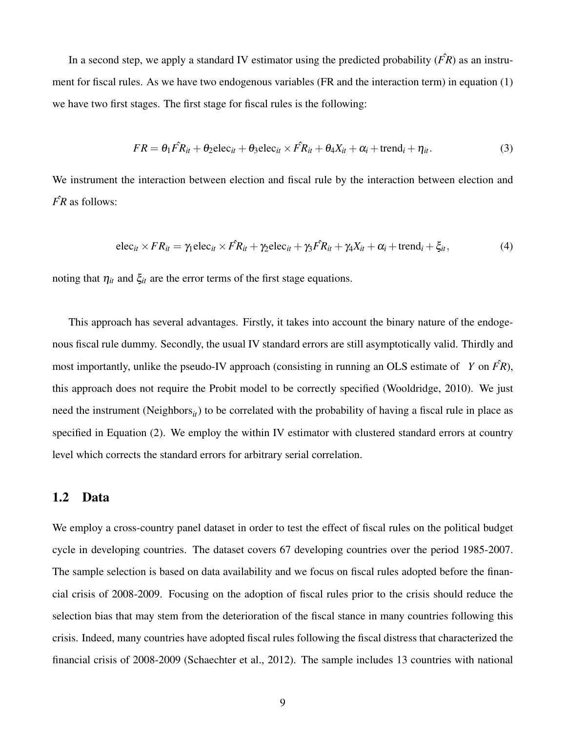In a second step, we apply a standard IV estimator using the predicted probability  $(\hat{FR})$  as an instrument for fiscal rules. As we have two endogenous variables (FR and the interaction term) in equation (1) we have two first stages. The first stage for fiscal rules is the following:

$$
FR = \theta_1 \hat{FR}_{it} + \theta_2 \text{elec}_{it} + \theta_3 \text{elec}_{it} \times \hat{FR}_{it} + \theta_4 X_{it} + \alpha_i + \text{trend}_i + \eta_{it}.
$$
 (3)

We instrument the interaction between election and fiscal rule by the interaction between election and  $\hat{FR}$  as follows:

$$
\operatorname{elec}_{it} \times FR_{it} = \gamma_1 \operatorname{elec}_{it} \times \hat{FR}_{it} + \gamma_2 \operatorname{elec}_{it} + \gamma_3 \hat{FR}_{it} + \gamma_4 X_{it} + \alpha_i + \operatorname{trend}_i + \xi_{it}, \tag{4}
$$

noting that  $\eta_{it}$  and  $\xi_{it}$  are the error terms of the first stage equations.

This approach has several advantages. Firstly, it takes into account the binary nature of the endogenous fiscal rule dummy. Secondly, the usual IV standard errors are still asymptotically valid. Thirdly and most importantly, unlike the pseudo-IV approach (consisting in running an OLS estimate of *Y* on  $\hat{FR}$ ), this approach does not require the Probit model to be correctly specified (Wooldridge, 2010). We just need the instrument (Neighbors<sub>*it*</sub>) to be correlated with the probability of having a fiscal rule in place as specified in Equation (2). We employ the within IV estimator with clustered standard errors at country level which corrects the standard errors for arbitrary serial correlation.

#### <span id="page-10-0"></span>1.2 Data

We employ a cross-country panel dataset in order to test the effect of fiscal rules on the political budget cycle in developing countries. The dataset covers 67 developing countries over the period 1985-2007. The sample selection is based on data availability and we focus on fiscal rules adopted before the financial crisis of 2008-2009. Focusing on the adoption of fiscal rules prior to the crisis should reduce the selection bias that may stem from the deterioration of the fiscal stance in many countries following this crisis. Indeed, many countries have adopted fiscal rules following the fiscal distress that characterized the financial crisis of 2008-2009 (Schaechter et al., 2012). The sample includes 13 countries with national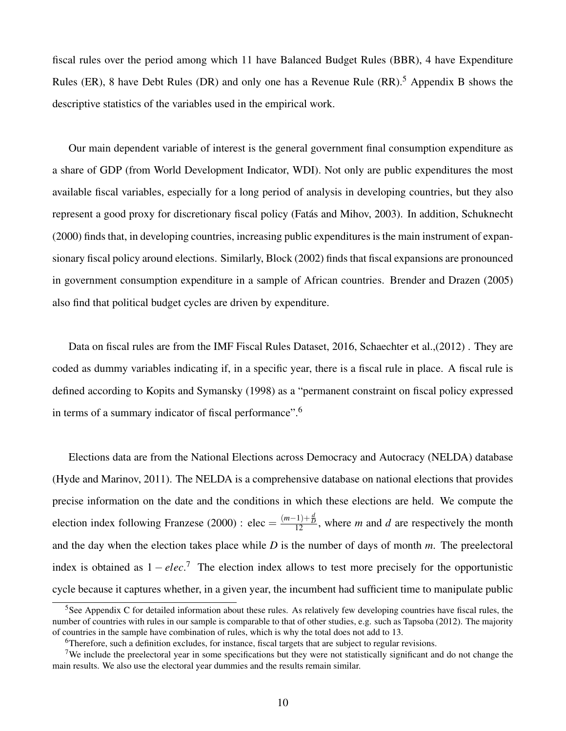fiscal rules over the period among which 11 have Balanced Budget Rules (BBR), 4 have Expenditure Rules (ER), 8 have Debt Rules (DR) and only one has a Revenue Rule  $(RR)$ .<sup>[5](#page-11-0)</sup> Appendix B shows the descriptive statistics of the variables used in the empirical work.

Our main dependent variable of interest is the general government final consumption expenditure as a share of GDP (from World Development Indicator, WDI). Not only are public expenditures the most available fiscal variables, especially for a long period of analysis in developing countries, but they also represent a good proxy for discretionary fiscal policy (Fatas and Mihov, 2003). In addition, Schuknecht ´ (2000) finds that, in developing countries, increasing public expenditures is the main instrument of expansionary fiscal policy around elections. Similarly, Block (2002) finds that fiscal expansions are pronounced in government consumption expenditure in a sample of African countries. Brender and Drazen (2005) also find that political budget cycles are driven by expenditure.

Data on fiscal rules are from the IMF Fiscal Rules Dataset, 2016, Schaechter et al.,(2012) . They are coded as dummy variables indicating if, in a specific year, there is a fiscal rule in place. A fiscal rule is defined according to Kopits and Symansky (1998) as a "permanent constraint on fiscal policy expressed in terms of a summary indicator of fiscal performance".[6](#page-11-1)

Elections data are from the National Elections across Democracy and Autocracy (NELDA) database (Hyde and Marinov, 2011). The NELDA is a comprehensive database on national elections that provides precise information on the date and the conditions in which these elections are held. We compute the election index following Franzese (2000) : elec =  $\frac{(m-1)+\frac{d}{D}}{12}$ , where *m* and *d* are respectively the month and the day when the election takes place while *D* is the number of days of month *m*. The preelectoral index is obtained as 1 − *elec*. [7](#page-11-2) The election index allows to test more precisely for the opportunistic cycle because it captures whether, in a given year, the incumbent had sufficient time to manipulate public

<span id="page-11-0"></span><sup>&</sup>lt;sup>5</sup>See Appendix C for detailed information about these rules. As relatively few developing countries have fiscal rules, the number of countries with rules in our sample is comparable to that of other studies, e.g. such as Tapsoba (2012). The majority of countries in the sample have combination of rules, which is why the total does not add to 13.

<span id="page-11-2"></span><span id="page-11-1"></span><sup>6</sup>Therefore, such a definition excludes, for instance, fiscal targets that are subject to regular revisions.

<sup>&</sup>lt;sup>7</sup>We include the preelectoral year in some specifications but they were not statistically significant and do not change the main results. We also use the electoral year dummies and the results remain similar.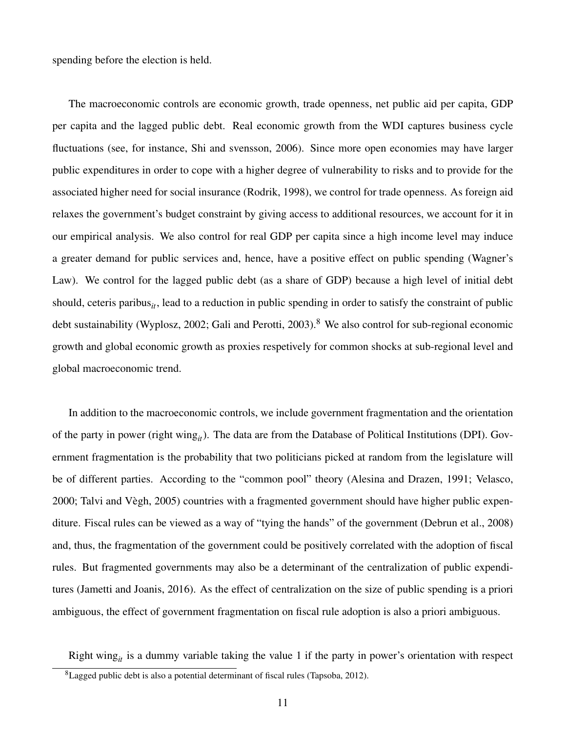spending before the election is held.

The macroeconomic controls are economic growth, trade openness, net public aid per capita, GDP per capita and the lagged public debt. Real economic growth from the WDI captures business cycle fluctuations (see, for instance, Shi and svensson, 2006). Since more open economies may have larger public expenditures in order to cope with a higher degree of vulnerability to risks and to provide for the associated higher need for social insurance (Rodrik, 1998), we control for trade openness. As foreign aid relaxes the government's budget constraint by giving access to additional resources, we account for it in our empirical analysis. We also control for real GDP per capita since a high income level may induce a greater demand for public services and, hence, have a positive effect on public spending (Wagner's Law). We control for the lagged public debt (as a share of GDP) because a high level of initial debt should, ceteris paribus<sub>*it*</sub>, lead to a reduction in public spending in order to satisfy the constraint of public debt sustainability (Wyplosz, 2002; Gali and Perotti, 2003).<sup>[8](#page-12-0)</sup> We also control for sub-regional economic growth and global economic growth as proxies respetively for common shocks at sub-regional level and global macroeconomic trend.

In addition to the macroeconomic controls, we include government fragmentation and the orientation of the party in power (right wing*it*). The data are from the Database of Political Institutions (DPI). Government fragmentation is the probability that two politicians picked at random from the legislature will be of different parties. According to the "common pool" theory (Alesina and Drazen, 1991; Velasco, 2000; Talvi and Vegh, 2005) countries with a fragmented government should have higher public expen- ` diture. Fiscal rules can be viewed as a way of "tying the hands" of the government (Debrun et al., 2008) and, thus, the fragmentation of the government could be positively correlated with the adoption of fiscal rules. But fragmented governments may also be a determinant of the centralization of public expenditures (Jametti and Joanis, 2016). As the effect of centralization on the size of public spending is a priori ambiguous, the effect of government fragmentation on fiscal rule adoption is also a priori ambiguous.

Right wing<sub>it</sub> is a dummy variable taking the value 1 if the party in power's orientation with respect

<span id="page-12-0"></span><sup>8</sup>Lagged public debt is also a potential determinant of fiscal rules (Tapsoba, 2012).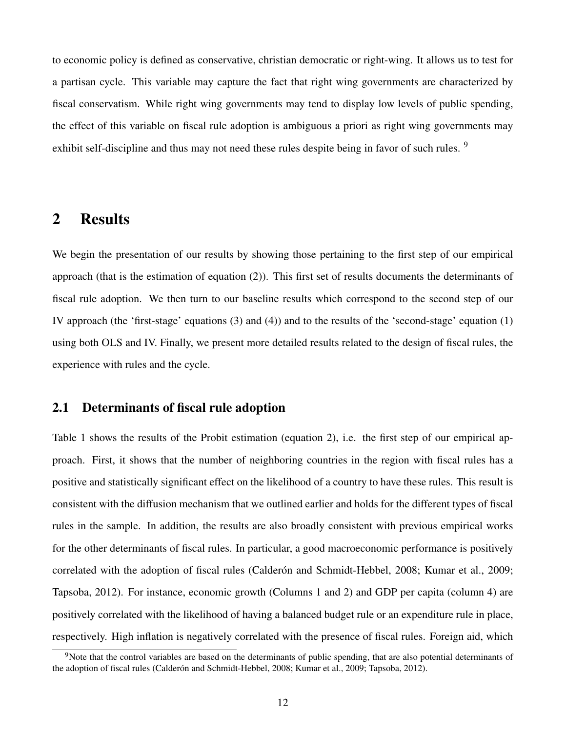to economic policy is defined as conservative, christian democratic or right-wing. It allows us to test for a partisan cycle. This variable may capture the fact that right wing governments are characterized by fiscal conservatism. While right wing governments may tend to display low levels of public spending, the effect of this variable on fiscal rule adoption is ambiguous a priori as right wing governments may exhibit self-discipline and thus may not need these rules despite being in favor of such rules. <sup>[9](#page-13-2)</sup>

## <span id="page-13-0"></span>2 Results

We begin the presentation of our results by showing those pertaining to the first step of our empirical approach (that is the estimation of equation (2)). This first set of results documents the determinants of fiscal rule adoption. We then turn to our baseline results which correspond to the second step of our IV approach (the 'first-stage' equations (3) and (4)) and to the results of the 'second-stage' equation (1) using both OLS and IV. Finally, we present more detailed results related to the design of fiscal rules, the experience with rules and the cycle.

#### <span id="page-13-1"></span>2.1 Determinants of fiscal rule adoption

Table 1 shows the results of the Probit estimation (equation 2), i.e. the first step of our empirical approach. First, it shows that the number of neighboring countries in the region with fiscal rules has a positive and statistically significant effect on the likelihood of a country to have these rules. This result is consistent with the diffusion mechanism that we outlined earlier and holds for the different types of fiscal rules in the sample. In addition, the results are also broadly consistent with previous empirical works for the other determinants of fiscal rules. In particular, a good macroeconomic performance is positively correlated with the adoption of fiscal rules (Calderón and Schmidt-Hebbel, 2008; Kumar et al., 2009; Tapsoba, 2012). For instance, economic growth (Columns 1 and 2) and GDP per capita (column 4) are positively correlated with the likelihood of having a balanced budget rule or an expenditure rule in place, respectively. High inflation is negatively correlated with the presence of fiscal rules. Foreign aid, which

<span id="page-13-2"></span> $9$ Note that the control variables are based on the determinants of public spending, that are also potential determinants of the adoption of fiscal rules (Calderón and Schmidt-Hebbel, 2008; Kumar et al., 2009; Tapsoba, 2012).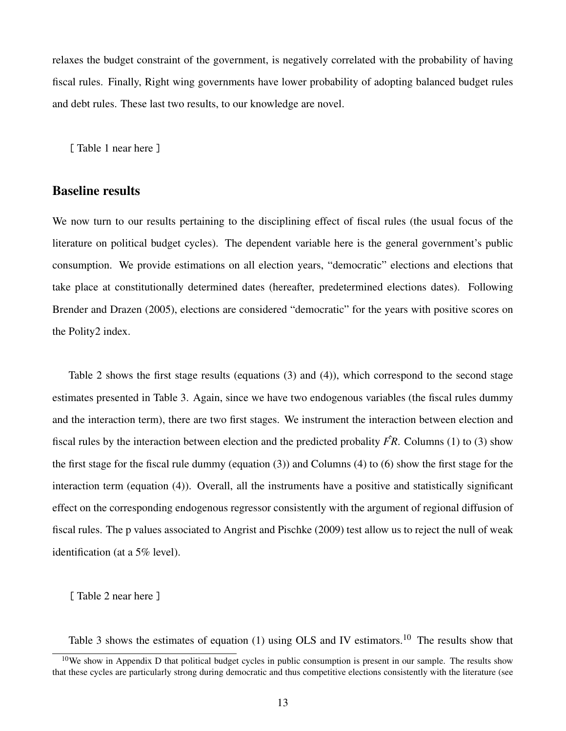relaxes the budget constraint of the government, is negatively correlated with the probability of having fiscal rules. Finally, Right wing governments have lower probability of adopting balanced budget rules and debt rules. These last two results, to our knowledge are novel.

[Table 1 near here ]

#### Baseline results

We now turn to our results pertaining to the disciplining effect of fiscal rules (the usual focus of the literature on political budget cycles). The dependent variable here is the general government's public consumption. We provide estimations on all election years, "democratic" elections and elections that take place at constitutionally determined dates (hereafter, predetermined elections dates). Following Brender and Drazen (2005), elections are considered "democratic" for the years with positive scores on the Polity2 index.

Table 2 shows the first stage results (equations (3) and (4)), which correspond to the second stage estimates presented in Table 3. Again, since we have two endogenous variables (the fiscal rules dummy and the interaction term), there are two first stages. We instrument the interaction between election and fiscal rules by the interaction between election and the predicted probality  $\hat{FR}$ . Columns (1) to (3) show the first stage for the fiscal rule dummy (equation (3)) and Columns (4) to (6) show the first stage for the interaction term (equation (4)). Overall, all the instruments have a positive and statistically significant effect on the corresponding endogenous regressor consistently with the argument of regional diffusion of fiscal rules. The p values associated to Angrist and Pischke (2009) test allow us to reject the null of weak identification (at a 5% level).

[ Table 2 near here ]

Table 3 shows the estimates of equation (1) using OLS and IV estimators.<sup>[10](#page-14-0)</sup> The results show that

<span id="page-14-0"></span> $10$ We show in Appendix D that political budget cycles in public consumption is present in our sample. The results show that these cycles are particularly strong during democratic and thus competitive elections consistently with the literature (see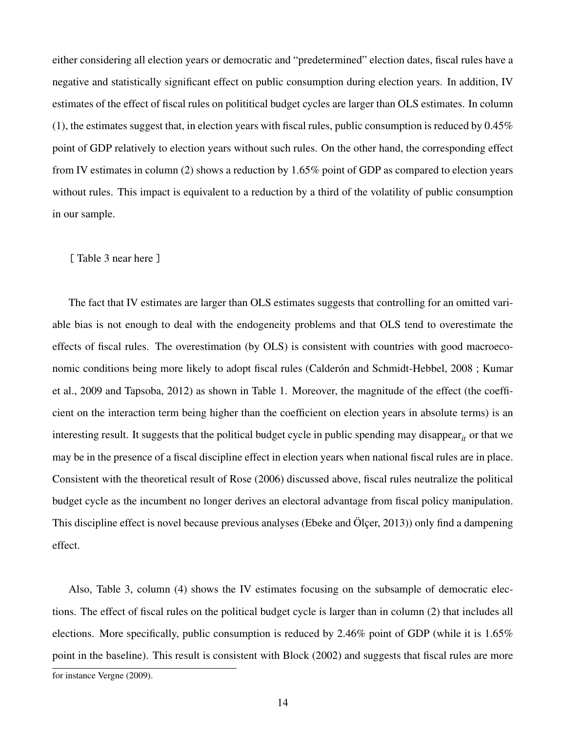either considering all election years or democratic and "predetermined" election dates, fiscal rules have a negative and statistically significant effect on public consumption during election years. In addition, IV estimates of the effect of fiscal rules on polititical budget cycles are larger than OLS estimates. In column (1), the estimates suggest that, in election years with fiscal rules, public consumption is reduced by 0.45% point of GDP relatively to election years without such rules. On the other hand, the corresponding effect from IV estimates in column (2) shows a reduction by 1.65% point of GDP as compared to election years without rules. This impact is equivalent to a reduction by a third of the volatility of public consumption in our sample.

#### [ Table 3 near here ]

The fact that IV estimates are larger than OLS estimates suggests that controlling for an omitted variable bias is not enough to deal with the endogeneity problems and that OLS tend to overestimate the effects of fiscal rules. The overestimation (by OLS) is consistent with countries with good macroeconomic conditions being more likely to adopt fiscal rules (Calderón and Schmidt-Hebbel, 2008; Kumar et al., 2009 and Tapsoba, 2012) as shown in Table 1. Moreover, the magnitude of the effect (the coefficient on the interaction term being higher than the coefficient on election years in absolute terms) is an interesting result. It suggests that the political budget cycle in public spending may disappear<sub> $it$ </sub> or that we may be in the presence of a fiscal discipline effect in election years when national fiscal rules are in place. Consistent with the theoretical result of Rose (2006) discussed above, fiscal rules neutralize the political budget cycle as the incumbent no longer derives an electoral advantage from fiscal policy manipulation. This discipline effect is novel because previous analyses (Ebeke and Ölcer, 2013)) only find a dampening effect.

Also, Table 3, column (4) shows the IV estimates focusing on the subsample of democratic elections. The effect of fiscal rules on the political budget cycle is larger than in column (2) that includes all elections. More specifically, public consumption is reduced by 2.46% point of GDP (while it is 1.65% point in the baseline). This result is consistent with Block (2002) and suggests that fiscal rules are more

for instance Vergne (2009).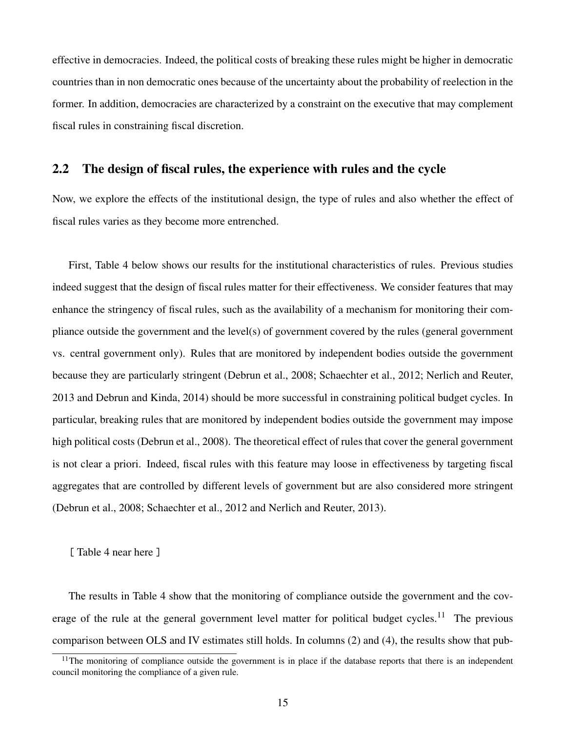effective in democracies. Indeed, the political costs of breaking these rules might be higher in democratic countries than in non democratic ones because of the uncertainty about the probability of reelection in the former. In addition, democracies are characterized by a constraint on the executive that may complement fiscal rules in constraining fiscal discretion.

#### <span id="page-16-0"></span>2.2 The design of fiscal rules, the experience with rules and the cycle

Now, we explore the effects of the institutional design, the type of rules and also whether the effect of fiscal rules varies as they become more entrenched.

First, Table 4 below shows our results for the institutional characteristics of rules. Previous studies indeed suggest that the design of fiscal rules matter for their effectiveness. We consider features that may enhance the stringency of fiscal rules, such as the availability of a mechanism for monitoring their compliance outside the government and the level(s) of government covered by the rules (general government vs. central government only). Rules that are monitored by independent bodies outside the government because they are particularly stringent (Debrun et al., 2008; Schaechter et al., 2012; Nerlich and Reuter, 2013 and Debrun and Kinda, 2014) should be more successful in constraining political budget cycles. In particular, breaking rules that are monitored by independent bodies outside the government may impose high political costs (Debrun et al., 2008). The theoretical effect of rules that cover the general government is not clear a priori. Indeed, fiscal rules with this feature may loose in effectiveness by targeting fiscal aggregates that are controlled by different levels of government but are also considered more stringent (Debrun et al., 2008; Schaechter et al., 2012 and Nerlich and Reuter, 2013).

[ Table 4 near here ]

The results in Table 4 show that the monitoring of compliance outside the government and the cov-erage of the rule at the general government level matter for political budget cycles.<sup>[11](#page-16-1)</sup> The previous comparison between OLS and IV estimates still holds. In columns (2) and (4), the results show that pub-

<span id="page-16-1"></span> $11$ The monitoring of compliance outside the government is in place if the database reports that there is an independent council monitoring the compliance of a given rule.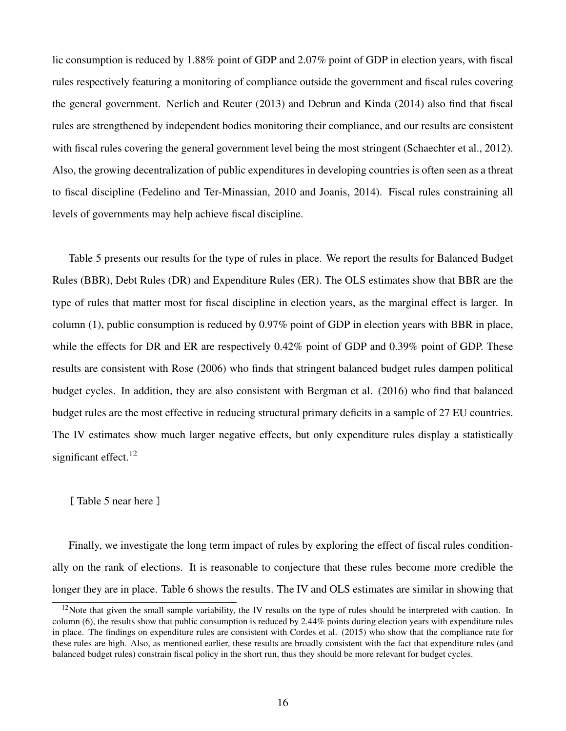lic consumption is reduced by 1.88% point of GDP and 2.07% point of GDP in election years, with fiscal rules respectively featuring a monitoring of compliance outside the government and fiscal rules covering the general government. Nerlich and Reuter (2013) and Debrun and Kinda (2014) also find that fiscal rules are strengthened by independent bodies monitoring their compliance, and our results are consistent with fiscal rules covering the general government level being the most stringent (Schaechter et al., 2012). Also, the growing decentralization of public expenditures in developing countries is often seen as a threat to fiscal discipline (Fedelino and Ter-Minassian, 2010 and Joanis, 2014). Fiscal rules constraining all levels of governments may help achieve fiscal discipline.

Table 5 presents our results for the type of rules in place. We report the results for Balanced Budget Rules (BBR), Debt Rules (DR) and Expenditure Rules (ER). The OLS estimates show that BBR are the type of rules that matter most for fiscal discipline in election years, as the marginal effect is larger. In column (1), public consumption is reduced by 0.97% point of GDP in election years with BBR in place, while the effects for DR and ER are respectively 0.42% point of GDP and 0.39% point of GDP. These results are consistent with Rose (2006) who finds that stringent balanced budget rules dampen political budget cycles. In addition, they are also consistent with Bergman et al. (2016) who find that balanced budget rules are the most effective in reducing structural primary deficits in a sample of 27 EU countries. The IV estimates show much larger negative effects, but only expenditure rules display a statistically significant effect. $12$ 

#### [Table 5 near here ]

Finally, we investigate the long term impact of rules by exploring the effect of fiscal rules conditionally on the rank of elections. It is reasonable to conjecture that these rules become more credible the longer they are in place. Table 6 shows the results. The IV and OLS estimates are similar in showing that

<span id="page-17-0"></span> $12$ Note that given the small sample variability, the IV results on the type of rules should be interpreted with caution. In column (6), the results show that public consumption is reduced by 2.44% points during election years with expenditure rules in place. The findings on expenditure rules are consistent with Cordes et al. (2015) who show that the compliance rate for these rules are high. Also, as mentioned earlier, these results are broadly consistent with the fact that expenditure rules (and balanced budget rules) constrain fiscal policy in the short run, thus they should be more relevant for budget cycles.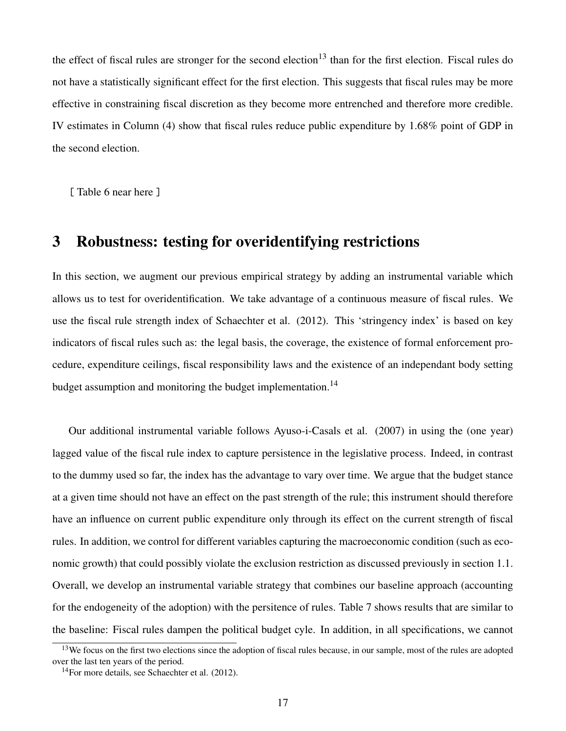the effect of fiscal rules are stronger for the second election<sup>[13](#page-18-1)</sup> than for the first election. Fiscal rules do not have a statistically significant effect for the first election. This suggests that fiscal rules may be more effective in constraining fiscal discretion as they become more entrenched and therefore more credible. IV estimates in Column (4) show that fiscal rules reduce public expenditure by 1.68% point of GDP in the second election.

[Table 6 near here]

## <span id="page-18-0"></span>3 Robustness: testing for overidentifying restrictions

In this section, we augment our previous empirical strategy by adding an instrumental variable which allows us to test for overidentification. We take advantage of a continuous measure of fiscal rules. We use the fiscal rule strength index of Schaechter et al. (2012). This 'stringency index' is based on key indicators of fiscal rules such as: the legal basis, the coverage, the existence of formal enforcement procedure, expenditure ceilings, fiscal responsibility laws and the existence of an independant body setting budget assumption and monitoring the budget implementation.<sup>[14](#page-18-2)</sup>

Our additional instrumental variable follows Ayuso-i-Casals et al. (2007) in using the (one year) lagged value of the fiscal rule index to capture persistence in the legislative process. Indeed, in contrast to the dummy used so far, the index has the advantage to vary over time. We argue that the budget stance at a given time should not have an effect on the past strength of the rule; this instrument should therefore have an influence on current public expenditure only through its effect on the current strength of fiscal rules. In addition, we control for different variables capturing the macroeconomic condition (such as economic growth) that could possibly violate the exclusion restriction as discussed previously in section 1.1. Overall, we develop an instrumental variable strategy that combines our baseline approach (accounting for the endogeneity of the adoption) with the persitence of rules. Table 7 shows results that are similar to the baseline: Fiscal rules dampen the political budget cyle. In addition, in all specifications, we cannot

<span id="page-18-1"></span><sup>&</sup>lt;sup>13</sup>We focus on the first two elections since the adoption of fiscal rules because, in our sample, most of the rules are adopted over the last ten years of the period.

<span id="page-18-2"></span> $14$ For more details, see Schaechter et al. (2012).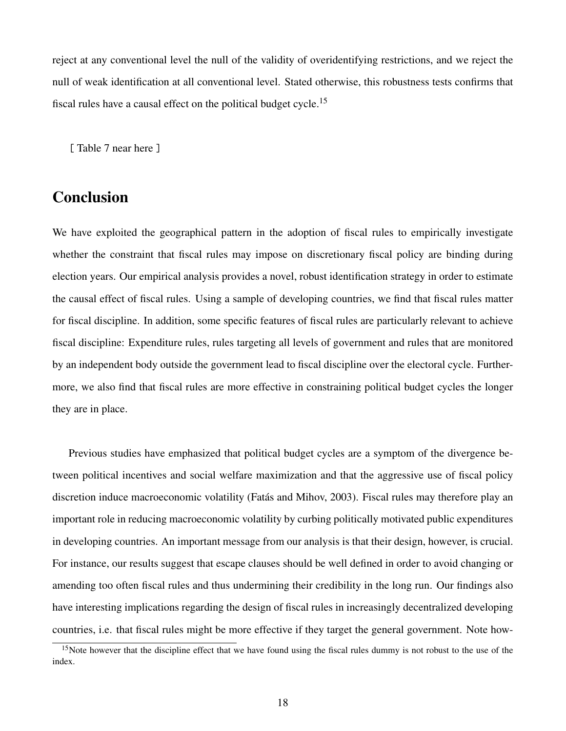reject at any conventional level the null of the validity of overidentifying restrictions, and we reject the null of weak identification at all conventional level. Stated otherwise, this robustness tests confirms that fiscal rules have a causal effect on the political budget cycle.<sup>[15](#page-19-1)</sup>

[ Table 7 near here ]

# <span id="page-19-0"></span>**Conclusion**

We have exploited the geographical pattern in the adoption of fiscal rules to empirically investigate whether the constraint that fiscal rules may impose on discretionary fiscal policy are binding during election years. Our empirical analysis provides a novel, robust identification strategy in order to estimate the causal effect of fiscal rules. Using a sample of developing countries, we find that fiscal rules matter for fiscal discipline. In addition, some specific features of fiscal rules are particularly relevant to achieve fiscal discipline: Expenditure rules, rules targeting all levels of government and rules that are monitored by an independent body outside the government lead to fiscal discipline over the electoral cycle. Furthermore, we also find that fiscal rules are more effective in constraining political budget cycles the longer they are in place.

Previous studies have emphasized that political budget cycles are a symptom of the divergence between political incentives and social welfare maximization and that the aggressive use of fiscal policy discretion induce macroeconomic volatility (Fatás and Mihov, 2003). Fiscal rules may therefore play an important role in reducing macroeconomic volatility by curbing politically motivated public expenditures in developing countries. An important message from our analysis is that their design, however, is crucial. For instance, our results suggest that escape clauses should be well defined in order to avoid changing or amending too often fiscal rules and thus undermining their credibility in the long run. Our findings also have interesting implications regarding the design of fiscal rules in increasingly decentralized developing countries, i.e. that fiscal rules might be more effective if they target the general government. Note how-

<span id="page-19-1"></span><sup>&</sup>lt;sup>15</sup>Note however that the discipline effect that we have found using the fiscal rules dummy is not robust to the use of the index.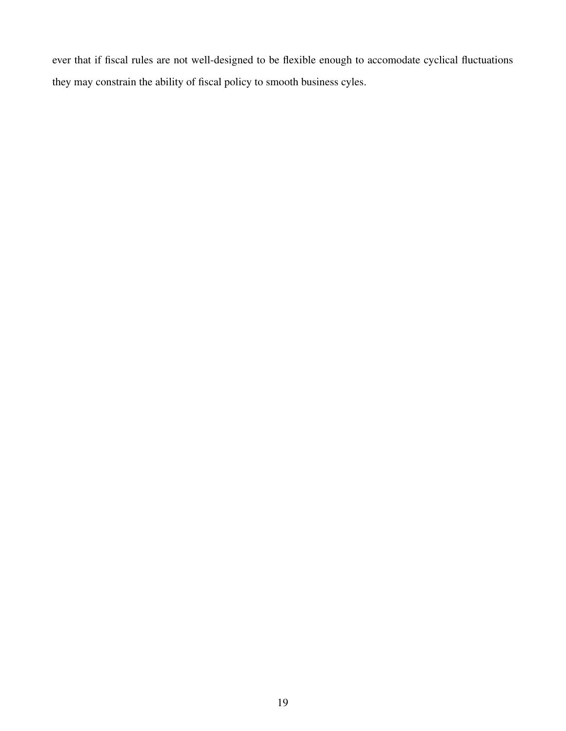ever that if fiscal rules are not well-designed to be flexible enough to accomodate cyclical fluctuations they may constrain the ability of fiscal policy to smooth business cyles.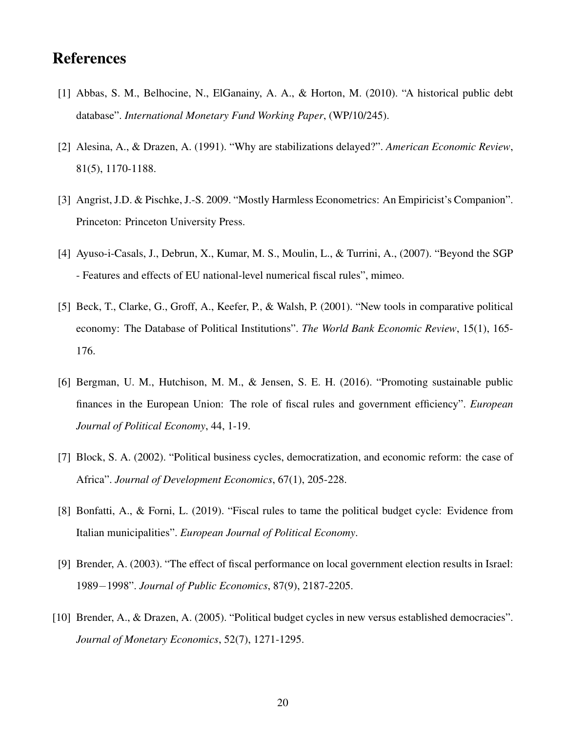# References

- [1] Abbas, S. M., Belhocine, N., ElGanainy, A. A., & Horton, M. (2010). "A historical public debt database". *International Monetary Fund Working Paper*, (WP/10/245).
- [2] Alesina, A., & Drazen, A. (1991). "Why are stabilizations delayed?". *American Economic Review*, 81(5), 1170-1188.
- [3] Angrist, J.D. & Pischke, J.-S. 2009. "Mostly Harmless Econometrics: An Empiricist's Companion". Princeton: Princeton University Press.
- [4] Ayuso-i-Casals, J., Debrun, X., Kumar, M. S., Moulin, L., & Turrini, A., (2007). "Beyond the SGP - Features and effects of EU national-level numerical fiscal rules", mimeo.
- [5] Beck, T., Clarke, G., Groff, A., Keefer, P., & Walsh, P. (2001). "New tools in comparative political economy: The Database of Political Institutions". *The World Bank Economic Review*, 15(1), 165- 176.
- [6] Bergman, U. M., Hutchison, M. M., & Jensen, S. E. H. (2016). "Promoting sustainable public finances in the European Union: The role of fiscal rules and government efficiency". *European Journal of Political Economy*, 44, 1-19.
- [7] Block, S. A. (2002). "Political business cycles, democratization, and economic reform: the case of Africa". *Journal of Development Economics*, 67(1), 205-228.
- [8] Bonfatti, A., & Forni, L. (2019). "Fiscal rules to tame the political budget cycle: Evidence from Italian municipalities". *European Journal of Political Economy*.
- [9] Brender, A. (2003). "The effect of fiscal performance on local government election results in Israel: 1989−1998". *Journal of Public Economics*, 87(9), 2187-2205.
- [10] Brender, A., & Drazen, A. (2005). "Political budget cycles in new versus established democracies". *Journal of Monetary Economics*, 52(7), 1271-1295.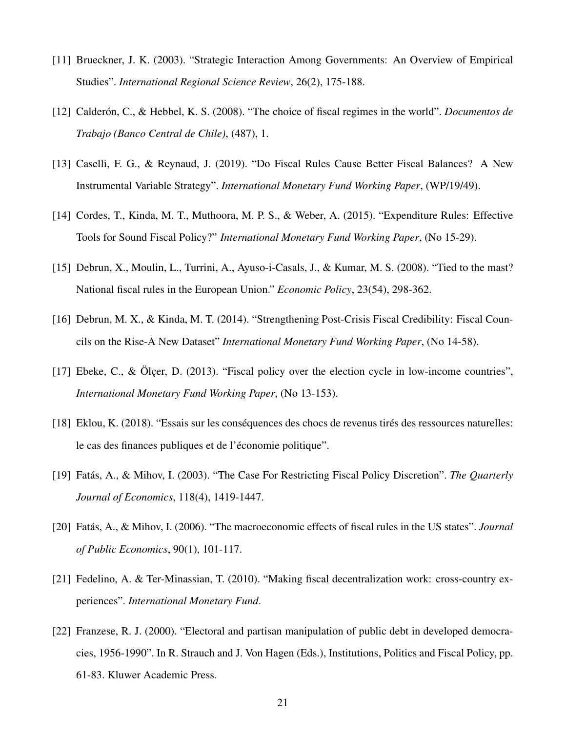- [11] Brueckner, J. K. (2003). "Strategic Interaction Among Governments: An Overview of Empirical Studies". *International Regional Science Review*, 26(2), 175-188.
- [12] Calderón, C., & Hebbel, K. S. (2008). "The choice of fiscal regimes in the world". *Documentos de Trabajo (Banco Central de Chile)*, (487), 1.
- [13] Caselli, F. G., & Reynaud, J. (2019). "Do Fiscal Rules Cause Better Fiscal Balances? A New Instrumental Variable Strategy". *International Monetary Fund Working Paper*, (WP/19/49).
- [14] Cordes, T., Kinda, M. T., Muthoora, M. P. S., & Weber, A. (2015). "Expenditure Rules: Effective Tools for Sound Fiscal Policy?" *International Monetary Fund Working Paper*, (No 15-29).
- [15] Debrun, X., Moulin, L., Turrini, A., Ayuso-i-Casals, J., & Kumar, M. S. (2008). "Tied to the mast? National fiscal rules in the European Union." *Economic Policy*, 23(54), 298-362.
- [16] Debrun, M. X., & Kinda, M. T. (2014). "Strengthening Post-Crisis Fiscal Credibility: Fiscal Councils on the Rise-A New Dataset" *International Monetary Fund Working Paper*, (No 14-58).
- [17] Ebeke, C., & Olcer, D. (2013). "Fiscal policy over the election cycle in low-income countries", *International Monetary Fund Working Paper*, (No 13-153).
- [18] Eklou, K. (2018). "Essais sur les conséquences des chocs de revenus tirés des ressources naturelles: le cas des finances publiques et de l'économie politique".
- [19] Fatás, A., & Mihov, I. (2003). "The Case For Restricting Fiscal Policy Discretion". The Quarterly *Journal of Economics*, 118(4), 1419-1447.
- [20] Fatás, A., & Mihov, I. (2006). "The macroeconomic effects of fiscal rules in the US states". *Journal of Public Economics*, 90(1), 101-117.
- [21] Fedelino, A. & Ter-Minassian, T. (2010). "Making fiscal decentralization work: cross-country experiences". *International Monetary Fund*.
- [22] Franzese, R. J. (2000). "Electoral and partisan manipulation of public debt in developed democracies, 1956-1990". In R. Strauch and J. Von Hagen (Eds.), Institutions, Politics and Fiscal Policy, pp. 61-83. Kluwer Academic Press.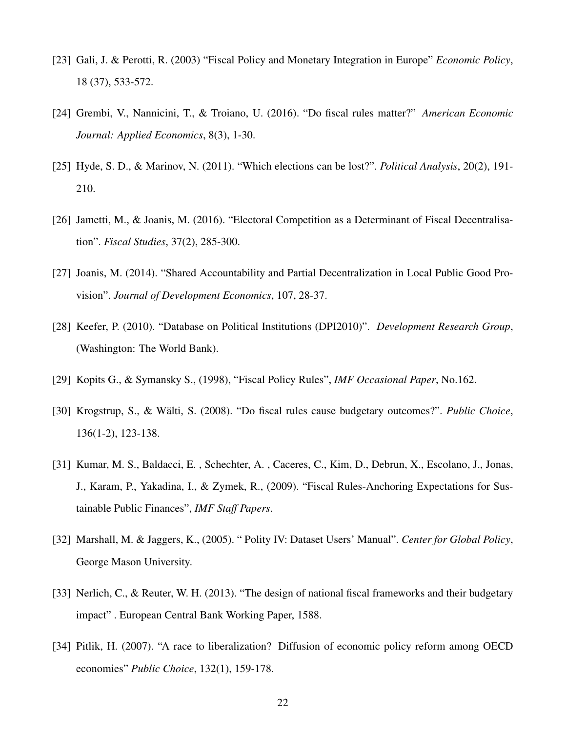- [23] Gali, J. & Perotti, R. (2003) "Fiscal Policy and Monetary Integration in Europe" *Economic Policy*, 18 (37), 533-572.
- [24] Grembi, V., Nannicini, T., & Troiano, U. (2016). "Do fiscal rules matter?" *American Economic Journal: Applied Economics*, 8(3), 1-30.
- [25] Hyde, S. D., & Marinov, N. (2011). "Which elections can be lost?". *Political Analysis*, 20(2), 191- 210.
- [26] Jametti, M., & Joanis, M. (2016). "Electoral Competition as a Determinant of Fiscal Decentralisation". *Fiscal Studies*, 37(2), 285-300.
- [27] Joanis, M. (2014). "Shared Accountability and Partial Decentralization in Local Public Good Provision". *Journal of Development Economics*, 107, 28-37.
- [28] Keefer, P. (2010). "Database on Political Institutions (DPI2010)". *Development Research Group*, (Washington: The World Bank).
- [29] Kopits G., & Symansky S., (1998), "Fiscal Policy Rules", *IMF Occasional Paper*, No.162.
- [30] Krogstrup, S., & Wälti, S. (2008). "Do fiscal rules cause budgetary outcomes?". Public Choice, 136(1-2), 123-138.
- [31] Kumar, M. S., Baldacci, E. , Schechter, A. , Caceres, C., Kim, D., Debrun, X., Escolano, J., Jonas, J., Karam, P., Yakadina, I., & Zymek, R., (2009). "Fiscal Rules-Anchoring Expectations for Sustainable Public Finances", *IMF Staff Papers*.
- [32] Marshall, M. & Jaggers, K., (2005). " Polity IV: Dataset Users' Manual". *Center for Global Policy*, George Mason University.
- [33] Nerlich, C., & Reuter, W. H. (2013). "The design of national fiscal frameworks and their budgetary impact" . European Central Bank Working Paper, 1588.
- [34] Pitlik, H. (2007). "A race to liberalization? Diffusion of economic policy reform among OECD economies" *Public Choice*, 132(1), 159-178.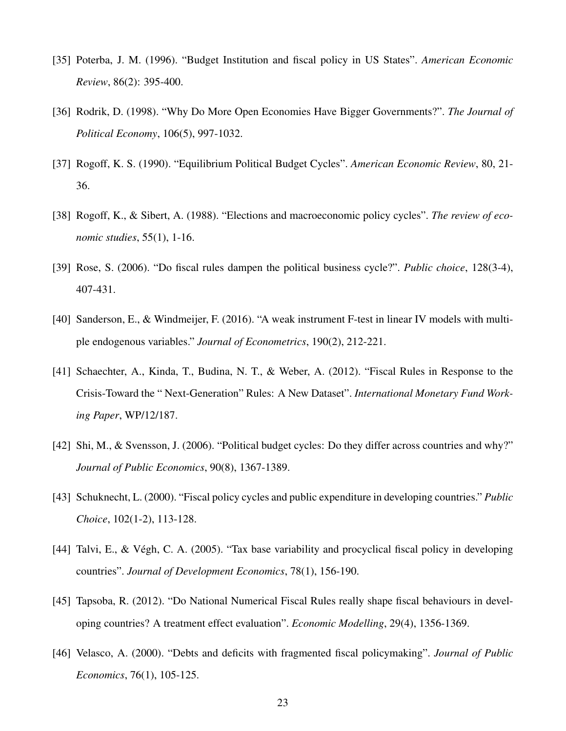- [35] Poterba, J. M. (1996). "Budget Institution and fiscal policy in US States". *American Economic Review*, 86(2): 395-400.
- [36] Rodrik, D. (1998). "Why Do More Open Economies Have Bigger Governments?". *The Journal of Political Economy*, 106(5), 997-1032.
- [37] Rogoff, K. S. (1990). "Equilibrium Political Budget Cycles". *American Economic Review*, 80, 21- 36.
- [38] Rogoff, K., & Sibert, A. (1988). "Elections and macroeconomic policy cycles". *The review of economic studies*, 55(1), 1-16.
- [39] Rose, S. (2006). "Do fiscal rules dampen the political business cycle?". *Public choice*, 128(3-4), 407-431.
- [40] Sanderson, E., & Windmeijer, F. (2016). "A weak instrument F-test in linear IV models with multiple endogenous variables." *Journal of Econometrics*, 190(2), 212-221.
- [41] Schaechter, A., Kinda, T., Budina, N. T., & Weber, A. (2012). "Fiscal Rules in Response to the Crisis-Toward the " Next-Generation" Rules: A New Dataset". *International Monetary Fund Working Paper*, WP/12/187.
- [42] Shi, M., & Svensson, J. (2006). "Political budget cycles: Do they differ across countries and why?" *Journal of Public Economics*, 90(8), 1367-1389.
- [43] Schuknecht, L. (2000). "Fiscal policy cycles and public expenditure in developing countries." *Public Choice*, 102(1-2), 113-128.
- [44] Talvi, E., & Vegh, C. A. (2005). "Tax base variability and procyclical fiscal policy in developing ´ countries". *Journal of Development Economics*, 78(1), 156-190.
- [45] Tapsoba, R. (2012). "Do National Numerical Fiscal Rules really shape fiscal behaviours in developing countries? A treatment effect evaluation". *Economic Modelling*, 29(4), 1356-1369.
- [46] Velasco, A. (2000). "Debts and deficits with fragmented fiscal policymaking". *Journal of Public Economics*, 76(1), 105-125.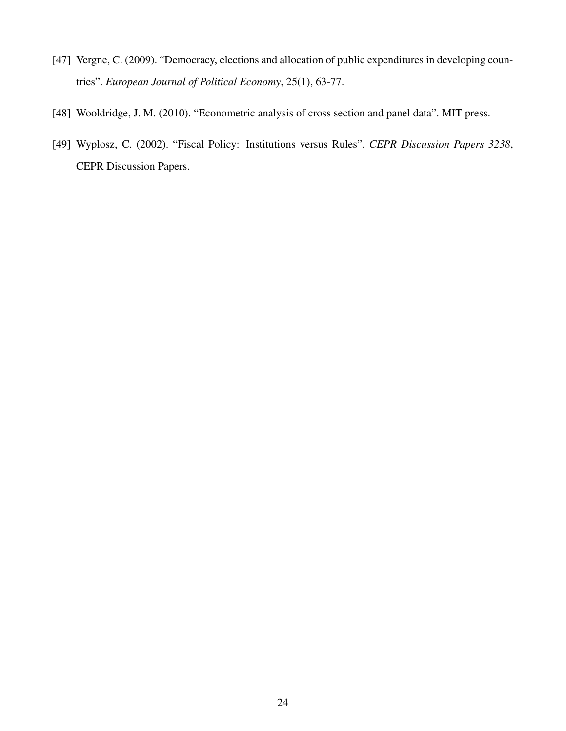- [47] Vergne, C. (2009). "Democracy, elections and allocation of public expenditures in developing countries". *European Journal of Political Economy*, 25(1), 63-77.
- [48] Wooldridge, J. M. (2010). "Econometric analysis of cross section and panel data". MIT press.
- [49] Wyplosz, C. (2002). "Fiscal Policy: Institutions versus Rules". *CEPR Discussion Papers 3238*, CEPR Discussion Papers.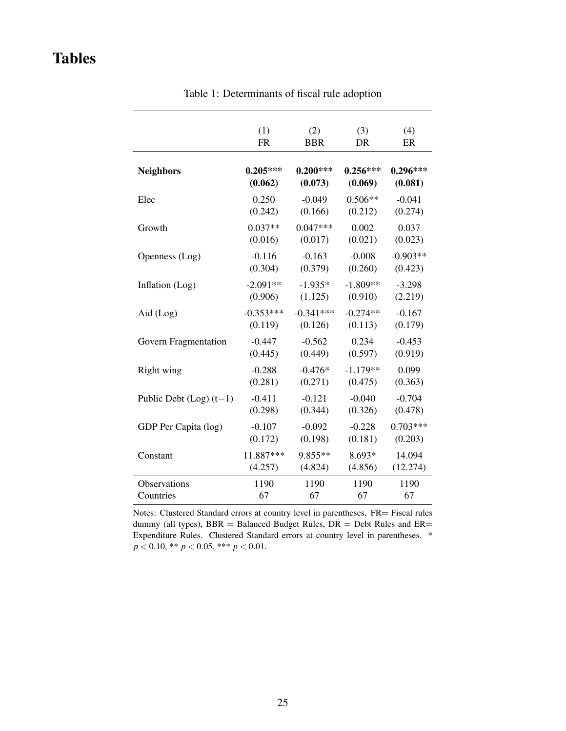# <span id="page-26-0"></span>Tables

|                             | (1)         | (2)         | (3)        | (4)        |
|-----------------------------|-------------|-------------|------------|------------|
|                             | <b>FR</b>   | <b>BBR</b>  | DR         | ER         |
| <b>Neighbors</b>            | $0.205***$  | $0.200***$  | $0.256***$ | $0.296***$ |
|                             | (0.062)     | (0.073)     | (0.069)    | (0.081)    |
| Elec                        | 0.250       | $-0.049$    | $0.506**$  | $-0.041$   |
|                             | (0.242)     | (0.166)     | (0.212)    | (0.274)    |
| Growth                      | $0.037**$   | $0.047***$  | 0.002      | 0.037      |
|                             | (0.016)     | (0.017)     | (0.021)    | (0.023)    |
| Openness (Log)              | $-0.116$    | $-0.163$    | $-0.008$   | $-0.903**$ |
|                             | (0.304)     | (0.379)     | (0.260)    | (0.423)    |
| Inflation (Log)             | $-2.091**$  | $-1.935*$   | $-1.809**$ | $-3.298$   |
|                             | (0.906)     | (1.125)     | (0.910)    | (2.219)    |
| Aid (Log)                   | $-0.353***$ | $-0.341***$ | $-0.274**$ | $-0.167$   |
|                             | (0.119)     | (0.126)     | (0.113)    | (0.179)    |
| Govern Fragmentation        | $-0.447$    | $-0.562$    | 0.234      | $-0.453$   |
|                             | (0.445)     | (0.449)     | (0.597)    | (0.919)    |
| Right wing                  | $-0.288$    | $-0.476*$   | $-1.179**$ | 0.099      |
|                             | (0.281)     | (0.271)     | (0.475)    | (0.363)    |
| Public Debt $(Log)$ $(t-1)$ | $-0.411$    | $-0.121$    | $-0.040$   | $-0.704$   |
|                             | (0.298)     | (0.344)     | (0.326)    | (0.478)    |
| GDP Per Capita (log)        | $-0.107$    | $-0.092$    | $-0.228$   | $0.703***$ |
|                             | (0.172)     | (0.198)     | (0.181)    | (0.203)    |
| Constant                    | 11.887***   | 9.855**     | 8.693*     | 14.094     |
|                             | (4.257)     | (4.824)     | (4.856)    | (12.274)   |
| Observations                | 1190        | 1190        | 1190       | 1190       |
| Countries                   | 67          | 67          | 67         | 67         |

Table 1: Determinants of fiscal rule adoption

Notes: Clustered Standard errors at country level in parentheses. FR= Fiscal rules dummy (all types),  $BBR =$  Balanced Budget Rules,  $DR =$  Debt Rules and  $ER =$ Expenditure Rules. Clustered Standard errors at country level in parentheses. \*  $p < 0.10$ , \*\*  $p < 0.05$ , \*\*\*  $p < 0.01$ .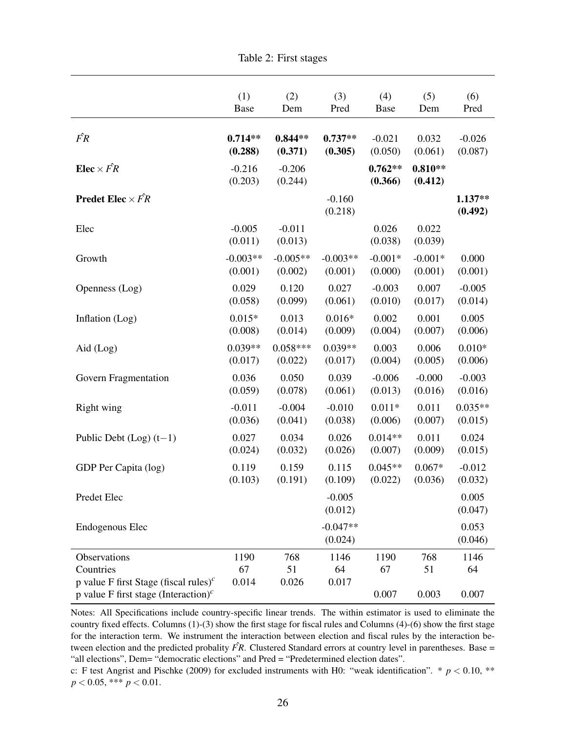<span id="page-27-0"></span>

|                                                                                                                    | (1)                 | (2)                 | (3)                   | (4)                  | (5)                  | (6)                |
|--------------------------------------------------------------------------------------------------------------------|---------------------|---------------------|-----------------------|----------------------|----------------------|--------------------|
|                                                                                                                    | Base                | Dem                 | Pred                  | <b>Base</b>          | Dem                  | Pred               |
| $\hat{FR}$                                                                                                         | $0.714**$           | $0.844**$           | $0.737**$             | $-0.021$             | 0.032                | $-0.026$           |
|                                                                                                                    | (0.288)             | (0.371)             | (0.305)               | (0.050)              | (0.061)              | (0.087)            |
| Elec $\times$ $\hat{FR}$                                                                                           | $-0.216$<br>(0.203) | $-0.206$<br>(0.244) |                       | $0.762**$<br>(0.366) | $0.810**$<br>(0.412) |                    |
| <b>Predet Elec</b> $\times$ $\hat{FR}$                                                                             |                     |                     | $-0.160$<br>(0.218)   |                      |                      | 1.137**<br>(0.492) |
| Elec                                                                                                               | $-0.005$<br>(0.011) | $-0.011$<br>(0.013) |                       | 0.026<br>(0.038)     | 0.022<br>(0.039)     |                    |
| Growth                                                                                                             | $-0.003**$          | $-0.005**$          | $-0.003**$            | $-0.001*$            | $-0.001*$            | 0.000              |
|                                                                                                                    | (0.001)             | (0.002)             | (0.001)               | (0.000)              | (0.001)              | (0.001)            |
| Openness (Log)                                                                                                     | 0.029               | 0.120               | 0.027                 | $-0.003$             | 0.007                | $-0.005$           |
|                                                                                                                    | (0.058)             | (0.099)             | (0.061)               | (0.010)              | (0.017)              | (0.014)            |
| Inflation (Log)                                                                                                    | $0.015*$            | 0.013               | $0.016*$              | 0.002                | 0.001                | 0.005              |
|                                                                                                                    | (0.008)             | (0.014)             | (0.009)               | (0.004)              | (0.007)              | (0.006)            |
| Aid $(Log)$                                                                                                        | $0.039**$           | $0.058***$          | $0.039**$             | 0.003                | 0.006                | $0.010*$           |
|                                                                                                                    | (0.017)             | (0.022)             | (0.017)               | (0.004)              | (0.005)              | (0.006)            |
| Govern Fragmentation                                                                                               | 0.036               | 0.050               | 0.039                 | $-0.006$             | $-0.000$             | $-0.003$           |
|                                                                                                                    | (0.059)             | (0.078)             | (0.061)               | (0.013)              | (0.016)              | (0.016)            |
| Right wing                                                                                                         | $-0.011$            | $-0.004$            | $-0.010$              | $0.011*$             | 0.011                | $0.035**$          |
|                                                                                                                    | (0.036)             | (0.041)             | (0.038)               | (0.006)              | (0.007)              | (0.015)            |
| Public Debt $(Log)$ $(t-1)$                                                                                        | 0.027               | 0.034               | 0.026                 | $0.014**$            | 0.011                | 0.024              |
|                                                                                                                    | (0.024)             | (0.032)             | (0.026)               | (0.007)              | (0.009)              | (0.015)            |
| GDP Per Capita (log)                                                                                               | 0.119               | 0.159               | 0.115                 | $0.045**$            | $0.067*$             | $-0.012$           |
|                                                                                                                    | (0.103)             | (0.191)             | (0.109)               | (0.022)              | (0.036)              | (0.032)            |
| Predet Elec                                                                                                        |                     |                     | $-0.005$<br>(0.012)   |                      |                      | 0.005<br>(0.047)   |
| <b>Endogenous Elec</b>                                                                                             |                     |                     | $-0.047**$<br>(0.024) |                      |                      | 0.053<br>(0.046)   |
| Observations                                                                                                       | 1190                | 768                 | 1146                  | 1190                 | 768                  | 1146               |
| Countries                                                                                                          | 67                  | 51                  | 64                    | 67                   | 51                   | 64                 |
| p value F first Stage (fiscal rules) <sup>c</sup><br>p value F first stage (Interaction) <sup><math>c</math></sup> | 0.014               | 0.026               | 0.017                 | 0.007                | 0.003                | 0.007              |

Notes: All Specifications include country-specific linear trends. The within estimator is used to eliminate the country fixed effects. Columns (1)-(3) show the first stage for fiscal rules and Columns (4)-(6) show the first stage for the interaction term. We instrument the interaction between election and fiscal rules by the interaction between election and the predicted probality  $\hat{FR}$ . Clustered Standard errors at country level in parentheses. Base = "all elections", Dem= "democratic elections" and Pred = "Predetermined election dates".

c: F test Angrist and Pischke (2009) for excluded instruments with H0: "weak identification". \* *p* < 0.10, \*\*  $p < 0.05$ , \*\*\*  $p < 0.01$ .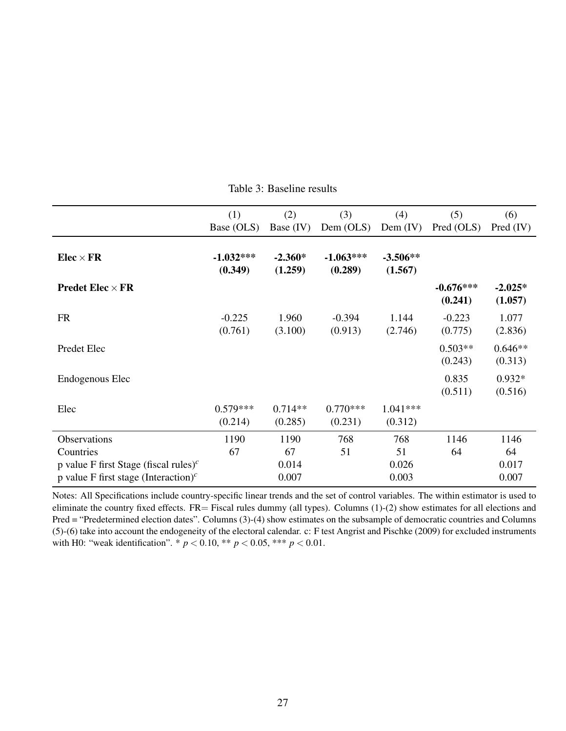<span id="page-28-0"></span>

|                                                               | (1)                    | (2)                  | (3)                    | (4)                   | (5)                    | (6)                  |
|---------------------------------------------------------------|------------------------|----------------------|------------------------|-----------------------|------------------------|----------------------|
|                                                               | Base (OLS)             | Base $(IV)$          | Dem $(OLS)$            | Dem $(IV)$            | Pred (OLS)             | Pred (IV)            |
| $Elec \times FR$                                              | $-1.032***$<br>(0.349) | $-2.360*$<br>(1.259) | $-1.063***$<br>(0.289) | $-3.506**$<br>(1.567) |                        |                      |
| <b>Predet Elec</b> $\times$ FR                                |                        |                      |                        |                       | $-0.676***$<br>(0.241) | $-2.025*$<br>(1.057) |
| <b>FR</b>                                                     | $-0.225$<br>(0.761)    | 1.960<br>(3.100)     | $-0.394$<br>(0.913)    | 1.144<br>(2.746)      | $-0.223$<br>(0.775)    | 1.077<br>(2.836)     |
| Predet Elec                                                   |                        |                      |                        |                       | $0.503**$<br>(0.243)   | $0.646**$<br>(0.313) |
| Endogenous Elec                                               |                        |                      |                        |                       | 0.835<br>(0.511)       | $0.932*$<br>(0.516)  |
| Elec                                                          | $0.579***$<br>(0.214)  | $0.714**$<br>(0.285) | $0.770***$<br>(0.231)  | $1.041***$<br>(0.312) |                        |                      |
| Observations                                                  | 1190                   | 1190                 | 768                    | 768                   | 1146                   | 1146                 |
| Countries                                                     | 67                     | 67                   | 51                     | 51                    | 64                     | 64                   |
| p value F first Stage (fiscal rules) <sup>c</sup>             |                        | 0.014                |                        | 0.026                 |                        | 0.017                |
| p value F first stage (Interaction) <sup><math>c</math></sup> |                        | 0.007                |                        | 0.003                 |                        | 0.007                |

Table 3: Baseline results

Notes: All Specifications include country-specific linear trends and the set of control variables. The within estimator is used to eliminate the country fixed effects.  $FR =$  Fiscal rules dummy (all types). Columns  $(1)-(2)$  show estimates for all elections and Pred = "Predetermined election dates". Columns (3)-(4) show estimates on the subsample of democratic countries and Columns (5)-(6) take into account the endogeneity of the electoral calendar. c: F test Angrist and Pischke (2009) for excluded instruments with H0: "weak identification". \*  $p < 0.10$ , \*\*  $p < 0.05$ , \*\*\*  $p < 0.01$ .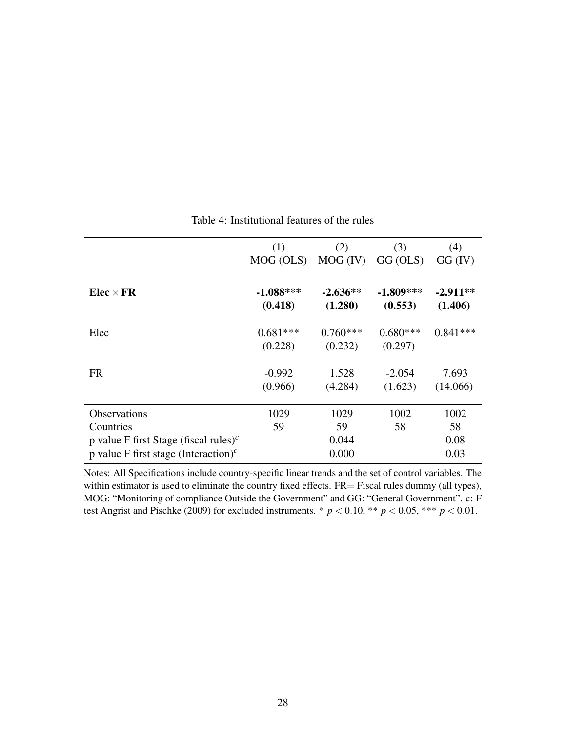<span id="page-29-0"></span>

|                                                                                                                                                        | (1)<br>MOG (OLS)       | (2)<br>$MOG$ (IV) $GG$ (OLS) | (3)                    | (4)<br>GG (IV)             |
|--------------------------------------------------------------------------------------------------------------------------------------------------------|------------------------|------------------------------|------------------------|----------------------------|
| $Elec \times FR$                                                                                                                                       | $-1.088***$<br>(0.418) | $-2.636**$<br>(1.280)        | $-1.809***$<br>(0.553) | $-2.911**$<br>(1.406)      |
| Elec                                                                                                                                                   | $0.681***$<br>(0.228)  | $0.760***$<br>(0.232)        | $0.680***$<br>(0.297)  | $0.841***$                 |
| <b>FR</b>                                                                                                                                              | $-0.992$<br>(0.966)    | 1.528<br>(4.284)             | $-2.054$<br>(1.623)    | 7.693<br>(14.066)          |
| <b>Observations</b><br>Countries<br>p value F first Stage (fiscal rules) <sup>c</sup><br>p value F first stage (Interaction) <sup><math>c</math></sup> | 1029<br>59             | 1029<br>59<br>0.044<br>0.000 | 1002<br>58             | 1002<br>58<br>0.08<br>0.03 |

#### Table 4: Institutional features of the rules

Notes: All Specifications include country-specific linear trends and the set of control variables. The within estimator is used to eliminate the country fixed effects. FR= Fiscal rules dummy (all types), MOG: "Monitoring of compliance Outside the Government" and GG: "General Government". c: F test Angrist and Pischke (2009) for excluded instruments.  $*$   $p$  < 0.10,  $**$   $p$  < 0.05,  $**$   $p$  < 0.01.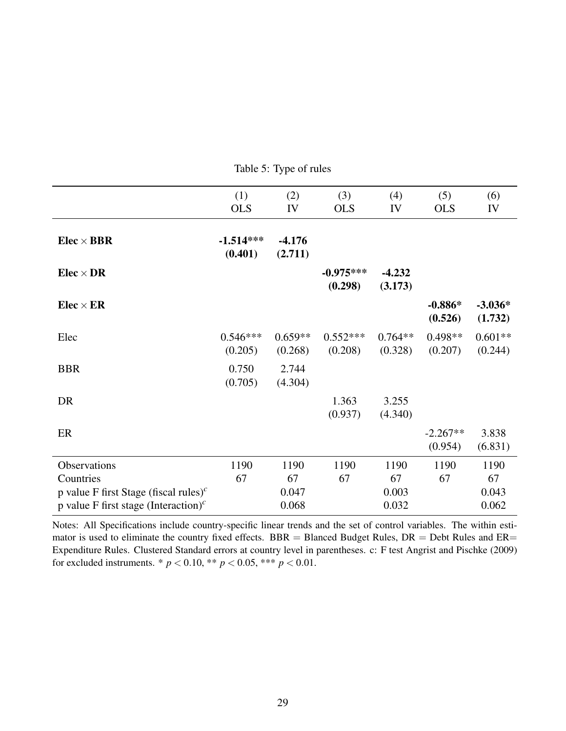<span id="page-30-0"></span>

|                                                                | (1)                    | (2)                  | (3)                    | (4)                  | (5)                   | (6)                  |
|----------------------------------------------------------------|------------------------|----------------------|------------------------|----------------------|-----------------------|----------------------|
|                                                                | <b>OLS</b>             | IV                   | <b>OLS</b>             | IV                   | <b>OLS</b>            | IV                   |
| $Elec \times BBR$                                              | $-1.514***$<br>(0.401) | $-4.176$<br>(2.711)  |                        |                      |                       |                      |
| $Elec \times DR$                                               |                        |                      | $-0.975***$<br>(0.298) | $-4.232$<br>(3.173)  |                       |                      |
| $Elec \times ER$                                               |                        |                      |                        |                      | $-0.886*$<br>(0.526)  | $-3.036*$<br>(1.732) |
| Elec                                                           | $0.546***$<br>(0.205)  | $0.659**$<br>(0.268) | $0.552***$<br>(0.208)  | $0.764**$<br>(0.328) | $0.498**$<br>(0.207)  | $0.601**$<br>(0.244) |
| <b>BBR</b>                                                     | 0.750<br>(0.705)       | 2.744<br>(4.304)     |                        |                      |                       |                      |
| DR                                                             |                        |                      | 1.363<br>(0.937)       | 3.255<br>(4.340)     |                       |                      |
| ER                                                             |                        |                      |                        |                      | $-2.267**$<br>(0.954) | 3.838<br>(6.831)     |
| Observations                                                   | 1190                   | 1190                 | 1190                   | 1190                 | 1190                  | 1190                 |
| Countries                                                      | 67                     | 67                   | 67                     | 67                   | 67                    | 67                   |
| p value F first Stage (fiscal rules) <sup><math>c</math></sup> |                        | 0.047                |                        | 0.003                |                       | 0.043                |
| p value F first stage (Interaction) <sup><math>c</math></sup>  |                        | 0.068                |                        | 0.032                |                       | 0.062                |

Table 5: Type of rules

Notes: All Specifications include country-specific linear trends and the set of control variables. The within estimator is used to eliminate the country fixed effects.  $BBR = B$ lanced Budget Rules,  $DR = Debt$  Rules and  $ER =$ Expenditure Rules. Clustered Standard errors at country level in parentheses. c: F test Angrist and Pischke (2009) for excluded instruments. \*  $p < 0.10$ , \*\*  $p < 0.05$ , \*\*\*  $p < 0.01$ .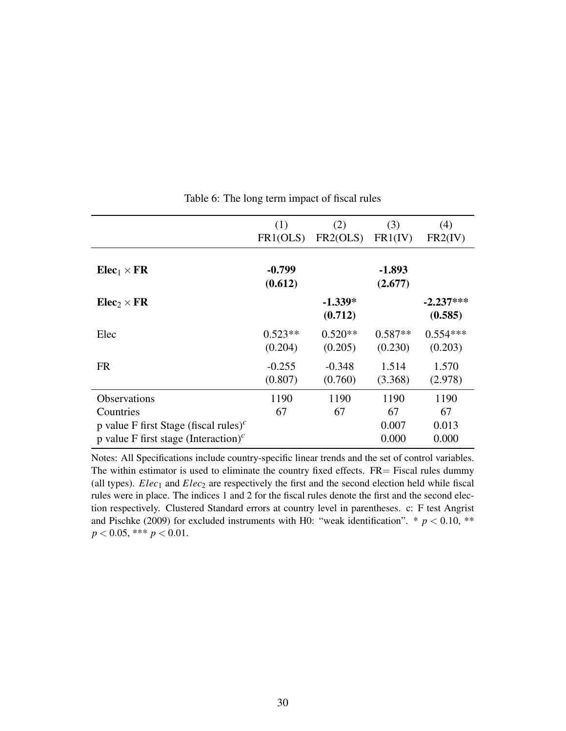<span id="page-31-0"></span>

|                                                               | (1)       | (2)       | (3)       | (4)         |
|---------------------------------------------------------------|-----------|-----------|-----------|-------------|
|                                                               | FR1(OLS)  | FR2(OLS)  | FR1(IV)   | FR2(IV)     |
|                                                               |           |           |           |             |
| $Elec_1 \times FR$                                            | $-0.799$  |           | $-1.893$  |             |
|                                                               | (0.612)   |           | (2.677)   |             |
| $Elec_2 \times FR$                                            |           | $-1.339*$ |           | $-2.237***$ |
|                                                               |           | (0.712)   |           | (0.585)     |
| Elec                                                          | $0.523**$ | $0.520**$ | $0.587**$ | $0.554***$  |
|                                                               | (0.204)   | (0.205)   | (0.230)   | (0.203)     |
| <b>FR</b>                                                     | $-0.255$  | $-0.348$  | 1.514     | 1.570       |
|                                                               | (0.807)   | (0.760)   | (3.368)   | (2.978)     |
| <b>Observations</b>                                           | 1190      | 1190      | 1190      | 1190        |
| Countries                                                     | 67        | 67        | 67        | 67          |
| p value F first Stage (fiscal rules) <sup>c</sup>             |           |           | 0.007     | 0.013       |
| p value F first stage (Interaction) <sup><math>c</math></sup> |           |           | 0.000     | 0.000       |

Table 6: The long term impact of fiscal rules

Notes: All Specifications include country-specific linear trends and the set of control variables. The within estimator is used to eliminate the country fixed effects.  $FR =$  Fiscal rules dummy (all types).  $Elec_1$  and  $Elec_2$  are respectively the first and the second election held while fiscal rules were in place. The indices 1 and 2 for the fiscal rules denote the first and the second election respectively. Clustered Standard errors at country level in parentheses. c: F test Angrist and Pischke (2009) for excluded instruments with H0: "weak identification".  $*$   $p < 0.10$ , \*\* *p* < 0.05, \*\*\* *p* < 0.01.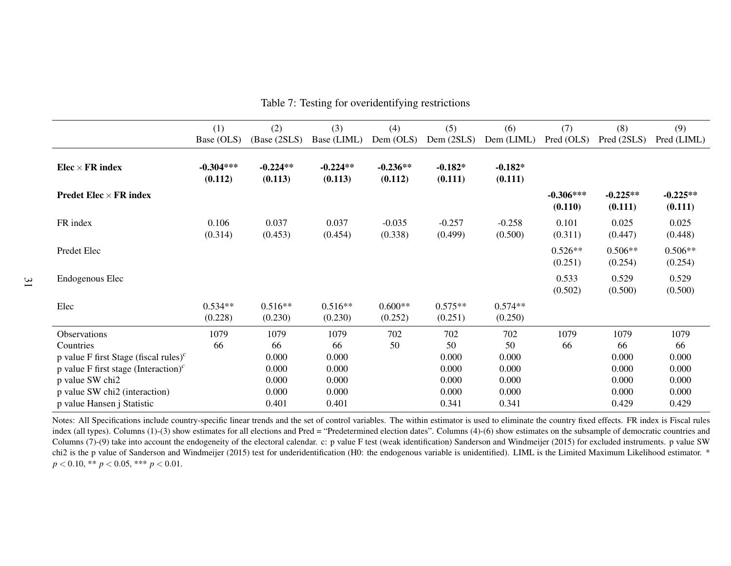|                                                                | (1)                    | (2)                   | (3)                   | (4)                   | (5)                  | (6)                  | (7)                    | (8)                   | (9)                   |
|----------------------------------------------------------------|------------------------|-----------------------|-----------------------|-----------------------|----------------------|----------------------|------------------------|-----------------------|-----------------------|
|                                                                | Base (OLS)             | (Base (2SLS)          | Base (LIML)           | Dem $(OLS)$           | Dem $(2SLS)$         | Dem (LIML)           | Pred (OLS)             | Pred (2SLS)           | Pred (LIML)           |
| $Elec \times FR$ index                                         | $-0.304***$<br>(0.112) | $-0.224**$<br>(0.113) | $-0.224**$<br>(0.113) | $-0.236**$<br>(0.112) | $-0.182*$<br>(0.111) | $-0.182*$<br>(0.111) |                        |                       |                       |
| <b>Predet Elec</b> $\times$ FR index                           |                        |                       |                       |                       |                      |                      | $-0.306***$<br>(0.110) | $-0.225**$<br>(0.111) | $-0.225**$<br>(0.111) |
| FR index                                                       | 0.106<br>(0.314)       | 0.037<br>(0.453)      | 0.037<br>(0.454)      | $-0.035$<br>(0.338)   | $-0.257$<br>(0.499)  | $-0.258$<br>(0.500)  | 0.101<br>(0.311)       | 0.025<br>(0.447)      | 0.025<br>(0.448)      |
| Predet Elec                                                    |                        |                       |                       |                       |                      |                      | $0.526**$<br>(0.251)   | $0.506**$<br>(0.254)  | $0.506**$<br>(0.254)  |
| Endogenous Elec                                                |                        |                       |                       |                       |                      |                      | 0.533<br>(0.502)       | 0.529<br>(0.500)      | 0.529<br>(0.500)      |
| Elec                                                           | $0.534**$<br>(0.228)   | $0.516**$<br>(0.230)  | $0.516**$<br>(0.230)  | $0.600**$<br>(0.252)  | $0.575**$<br>(0.251) | $0.574**$<br>(0.250) |                        |                       |                       |
| Observations                                                   | 1079                   | 1079                  | 1079                  | 702                   | 702                  | 702                  | 1079                   | 1079                  | 1079                  |
| Countries                                                      | 66                     | 66                    | 66                    | 50                    | 50                   | 50                   | 66                     | 66                    | 66                    |
| p value F first Stage (fiscal rules) <sup><math>c</math></sup> |                        | 0.000                 | 0.000                 |                       | 0.000                | 0.000                |                        | 0.000                 | 0.000                 |
| p value F first stage (Interaction) <sup><math>c</math></sup>  |                        | 0.000                 | 0.000                 |                       | 0.000                | 0.000                |                        | 0.000                 | 0.000                 |
| p value SW chi2                                                |                        | 0.000                 | 0.000                 |                       | 0.000                | 0.000                |                        | 0.000                 | 0.000                 |
| p value SW chi2 (interaction)                                  |                        | 0.000                 | 0.000                 |                       | 0.000                | 0.000                |                        | 0.000                 | 0.000                 |
| p value Hansen j Statistic                                     |                        | 0.401                 | 0.401                 |                       | 0.341                | 0.341                |                        | 0.429                 | 0.429                 |

Table 7: Testing for overidentifying restrictions

<span id="page-32-0"></span>Notes: All Specifications include country-specific linear trends and the set of control variables. The within estimator is used to eliminate the country fixed effects. FR index is Fiscal rulesindex (all types). Columns (1)-(3) show estimates for all elections and Pred = "Predetermined election dates". Columns (4)-(6) show estimates on the subsample of democratic countries and Columns (7)-(9) take into account the endogeneity of the electoral calendar. c: p value F test (weak identification) Sanderson and Windmeijer (2015) for excluded instruments. p value SW chi2 is the p value of Sanderson and Windmeijer (2015) test for underidentification (H0: the endogenous variable is unidentified). LIML is the Limited Maximum Likelihood estimator. \**p* <sup>&</sup>lt; <sup>0</sup>.10, \*\* *<sup>p</sup>* <sup>&</sup>lt; <sup>0</sup>.05, \*\*\* *<sup>p</sup>* <sup>&</sup>lt; <sup>0</sup>.01.

31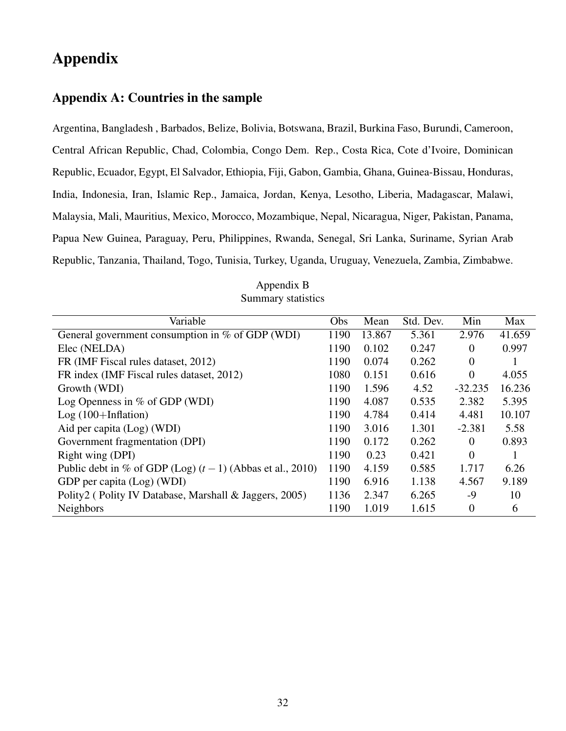# <span id="page-33-0"></span>Appendix

#### Appendix A: Countries in the sample

Argentina, Bangladesh , Barbados, Belize, Bolivia, Botswana, Brazil, Burkina Faso, Burundi, Cameroon, Central African Republic, Chad, Colombia, Congo Dem. Rep., Costa Rica, Cote d'Ivoire, Dominican Republic, Ecuador, Egypt, El Salvador, Ethiopia, Fiji, Gabon, Gambia, Ghana, Guinea-Bissau, Honduras, India, Indonesia, Iran, Islamic Rep., Jamaica, Jordan, Kenya, Lesotho, Liberia, Madagascar, Malawi, Malaysia, Mali, Mauritius, Mexico, Morocco, Mozambique, Nepal, Nicaragua, Niger, Pakistan, Panama, Papua New Guinea, Paraguay, Peru, Philippines, Rwanda, Senegal, Sri Lanka, Suriname, Syrian Arab Republic, Tanzania, Thailand, Togo, Tunisia, Turkey, Uganda, Uruguay, Venezuela, Zambia, Zimbabwe.

| Variable                                                      | Obs  | Mean   | Std. Dev. | Min            | Max    |
|---------------------------------------------------------------|------|--------|-----------|----------------|--------|
| General government consumption in % of GDP $\overline{(WDI)}$ | 1190 | 13.867 | 5.361     | 2.976          | 41.659 |
| Elec (NELDA)                                                  | 1190 | 0.102  | 0.247     | $\Omega$       | 0.997  |
| FR (IMF Fiscal rules dataset, 2012)                           | 1190 | 0.074  | 0.262     | $\overline{0}$ |        |
| FR index (IMF Fiscal rules dataset, 2012)                     | 1080 | 0.151  | 0.616     | $\Omega$       | 4.055  |
| Growth (WDI)                                                  | 1190 | 1.596  | 4.52      | $-32.235$      | 16.236 |
| Log Openness in $\%$ of GDP (WDI)                             | 1190 | 4.087  | 0.535     | 2.382          | 5.395  |
| $Log(100+Inflation)$                                          | 1190 | 4.784  | 0.414     | 4.481          | 10.107 |
| Aid per capita (Log) (WDI)                                    | 1190 | 3.016  | 1.301     | $-2.381$       | 5.58   |
| Government fragmentation (DPI)                                | 1190 | 0.172  | 0.262     | $\Omega$       | 0.893  |
| Right wing (DPI)                                              | 1190 | 0.23   | 0.421     | $\overline{0}$ |        |
| Public debt in % of GDP (Log) $(t-1)$ (Abbas et al., 2010)    | 1190 | 4.159  | 0.585     | 1.717          | 6.26   |
| GDP per capita (Log) (WDI)                                    | 1190 | 6.916  | 1.138     | 4.567          | 9.189  |
| Polity2 (Polity IV Database, Marshall & Jaggers, 2005)        | 1136 | 2.347  | 6.265     | -9             | 10     |
| <b>Neighbors</b>                                              | 1190 | 1.019  | 1.615     | $\overline{0}$ | 6      |

Appendix B Summary statistics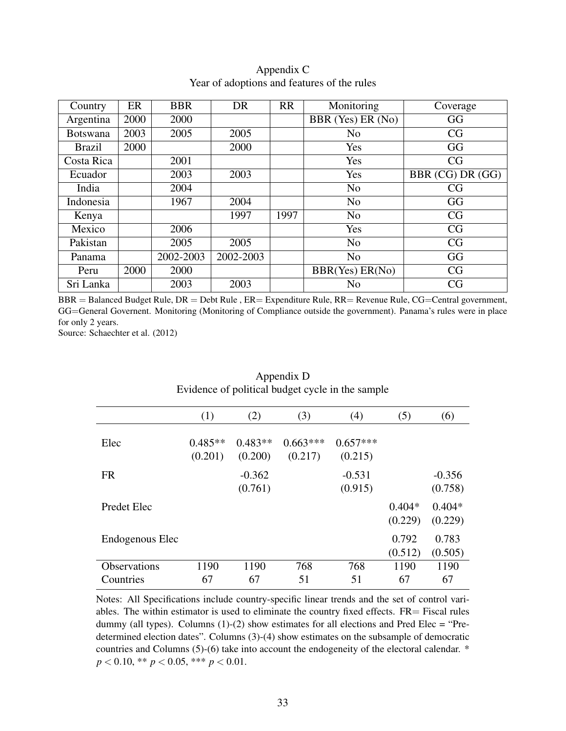| Country         | ER   | <b>BBR</b> | <b>DR</b> | <b>RR</b> | Monitoring        | Coverage         |
|-----------------|------|------------|-----------|-----------|-------------------|------------------|
| Argentina       | 2000 | 2000       |           |           | BBR (Yes) ER (No) | GG               |
| <b>Botswana</b> | 2003 | 2005       | 2005      |           | N <sub>0</sub>    | CG               |
| <b>Brazil</b>   | 2000 |            | 2000      |           | Yes               | GG               |
| Costa Rica      |      | 2001       |           |           | Yes               | CG               |
| Ecuador         |      | 2003       | 2003      |           | Yes               | BBR (CG) DR (GG) |
| India           |      | 2004       |           |           | N <sub>o</sub>    | CG               |
| Indonesia       |      | 1967       | 2004      |           | N <sub>o</sub>    | GG               |
| Kenya           |      |            | 1997      | 1997      | N <sub>o</sub>    | CG               |
| Mexico          |      | 2006       |           |           | Yes               | CG               |
| Pakistan        |      | 2005       | 2005      |           | N <sub>o</sub>    | CG               |
| Panama          |      | 2002-2003  | 2002-2003 |           | N <sub>o</sub>    | GG               |
| Peru            | 2000 | 2000       |           |           | BBR(Yes) ER(No)   | CG               |
| Sri Lanka       |      | 2003       | 2003      |           | N <sub>0</sub>    | CG               |

#### Appendix C Year of adoptions and features of the rules

BBR = Balanced Budget Rule, DR = Debt Rule , ER= Expenditure Rule, RR= Revenue Rule, CG=Central government, GG=General Governent. Monitoring (Monitoring of Compliance outside the government). Panama's rules were in place for only 2 years.

Source: Schaechter et al. (2012)

| Evidence of political budget cycle in the sample |                      |                      |                       |                       |                     |                     |  |  |  |
|--------------------------------------------------|----------------------|----------------------|-----------------------|-----------------------|---------------------|---------------------|--|--|--|
|                                                  | (1)                  | (2)                  | (3)                   | (4)                   | (5)                 | (6)                 |  |  |  |
| Elec                                             | $0.485**$<br>(0.201) | $0.483**$<br>(0.200) | $0.663***$<br>(0.217) | $0.657***$<br>(0.215) |                     |                     |  |  |  |
| <b>FR</b>                                        |                      | $-0.362$<br>(0.761)  |                       | $-0.531$<br>(0.915)   |                     | $-0.356$<br>(0.758) |  |  |  |
| <b>Predet Elec</b>                               |                      |                      |                       |                       | $0.404*$<br>(0.229) | $0.404*$<br>(0.229) |  |  |  |
| Endogenous Elec                                  |                      |                      |                       |                       | 0.792<br>(0.512)    | 0.783<br>(0.505)    |  |  |  |
| <b>Observations</b>                              | 1190                 | 1190                 | 768                   | 768                   | 1190                | 1190                |  |  |  |
| Countries                                        | 67                   | 67                   | 51                    | 51                    | 67                  | 67                  |  |  |  |

# Appendix D

Notes: All Specifications include country-specific linear trends and the set of control variables. The within estimator is used to eliminate the country fixed effects.  $FR =$  Fiscal rules dummy (all types). Columns  $(1)-(2)$  show estimates for all elections and Pred Elec = "Predetermined election dates". Columns (3)-(4) show estimates on the subsample of democratic countries and Columns (5)-(6) take into account the endogeneity of the electoral calendar. \* *p* < 0.10, \*\* *p* < 0.05, \*\*\* *p* < 0.01.